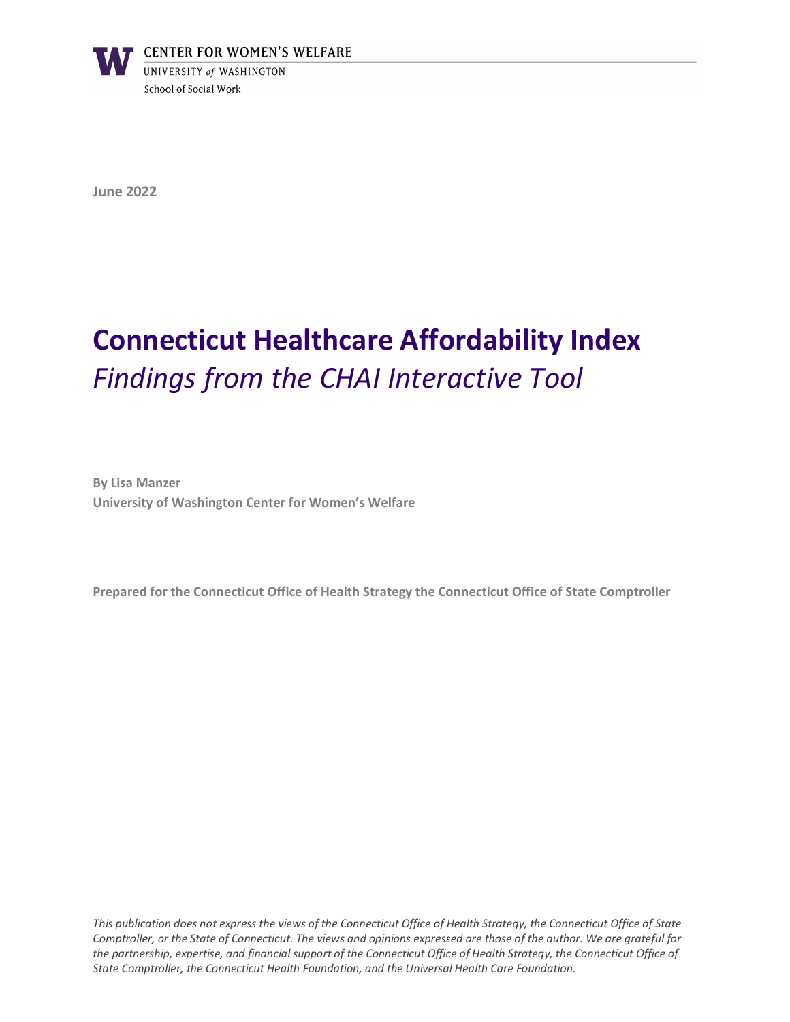

**June 2022**

# **Connecticut Healthcare Affordability Index** *Findings from the CHAI Interactive Tool*

**By Lisa Manzer University of Washington Center for Women's Welfare**

**Prepared for the Connecticut Office of Health Strategy the Connecticut Office of State Comptroller**

*This publication does not express the views of the Connecticut Office of Health Strategy, the Connecticut Office of State Comptroller, or the State of Connecticut. The views and opinions expressed are those of the author. We are grateful for the partnership, expertise, and financial support of the Connecticut Office of Health Strategy, the Connecticut Office of State Comptroller, the Connecticut Health Foundation, and the Universal Health Care Foundation.*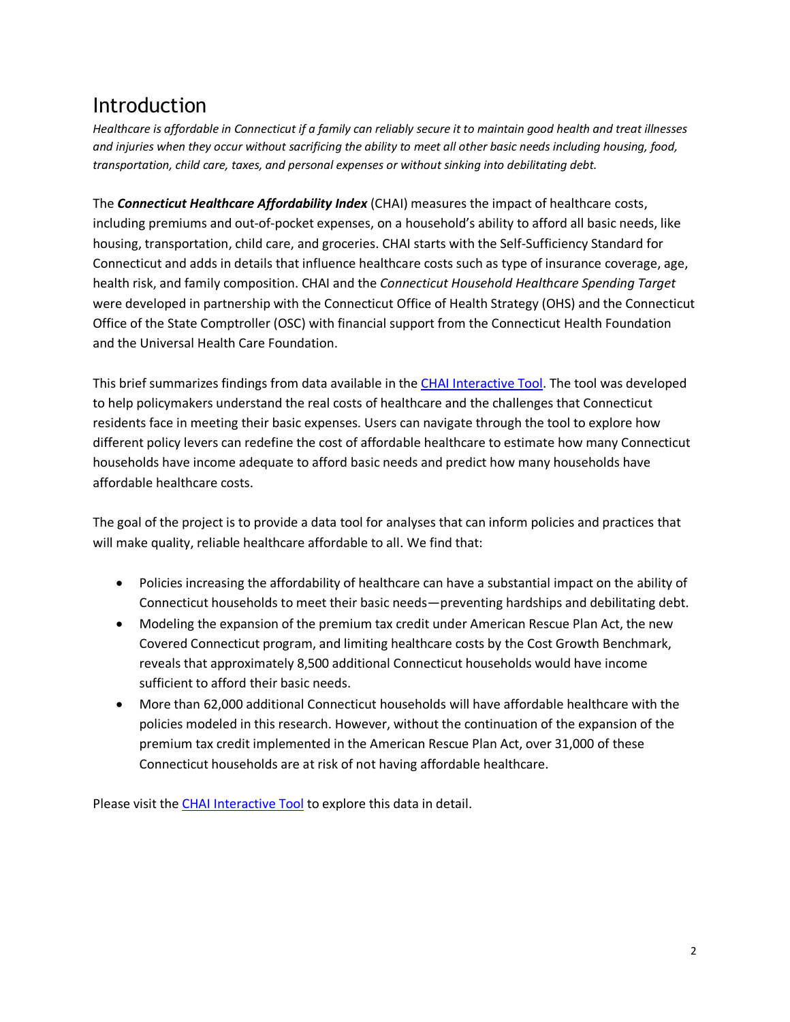# Introduction

*Healthcare is affordable in Connecticut if a family can reliably secure it to maintain good health and treat illnesses and injuries when they occur without sacrificing the ability to meet all other basic needs including housing, food, transportation, child care, taxes, and personal expenses or without sinking into debilitating debt.*

The *Connecticut Healthcare Affordability Index* (CHAI) measures the impact of healthcare costs, including premiums and out-of-pocket expenses, on a household's ability to afford all basic needs, like housing, transportation, child care, and groceries. CHAI starts with the Self-Sufficiency Standard for Connecticut and adds in details that influence healthcare costs such as type of insurance coverage, age, health risk, and family composition. CHAI and the *Connecticut Household Healthcare Spending Target* were developed in partnership with the Connecticut Office of Health Strategy (OHS) and the Connecticut Office of the State Comptroller (OSC) with financial support from the Connecticut Health Foundation and the Universal Health Care Foundation.

This brief summarizes findings from data available in the [CHAI Interactive Tool.](https://portal.ct.gov/healthscorect/CHAI-Interactive-Tool?language=en_US) The tool was developed to help policymakers understand the real costs of healthcare and the challenges that Connecticut residents face in meeting their basic expenses. Users can navigate through the tool to explore how different policy levers can redefine the cost of affordable healthcare to estimate how many Connecticut households have income adequate to afford basic needs and predict how many households have affordable healthcare costs.

The goal of the project is to provide a data tool for analyses that can inform policies and practices that will make quality, reliable healthcare affordable to all. We find that:

- Policies increasing the affordability of healthcare can have a substantial impact on the ability of Connecticut households to meet their basic needs—preventing hardships and debilitating debt.
- Modeling the expansion of the premium tax credit under American Rescue Plan Act, the new Covered Connecticut program, and limiting healthcare costs by the Cost Growth Benchmark, reveals that approximately 8,500 additional Connecticut households would have income sufficient to afford their basic needs.
- More than 62,000 additional Connecticut households will have affordable healthcare with the policies modeled in this research. However, without the continuation of the expansion of the premium tax credit implemented in the American Rescue Plan Act, over 31,000 of these Connecticut households are at risk of not having affordable healthcare.

Please visit the [CHAI Interactive Tool](https://portal.ct.gov/healthscorect/CHAI-Interactive-Tool?language=en_US) to explore this data in detail.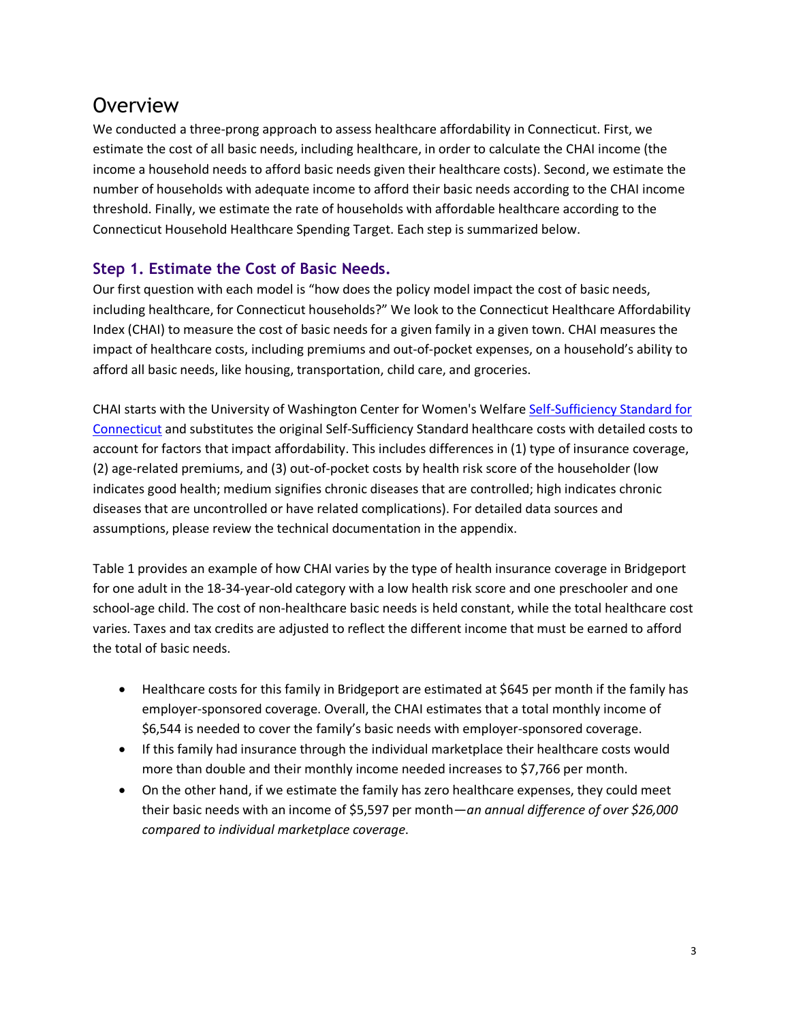# **Overview**

We conducted a three-prong approach to assess healthcare affordability in Connecticut. First, we estimate the cost of all basic needs, including healthcare, in order to calculate the CHAI income (the income a household needs to afford basic needs given their healthcare costs). Second, we estimate the number of households with adequate income to afford their basic needs according to the CHAI income threshold. Finally, we estimate the rate of households with affordable healthcare according to the Connecticut Household Healthcare Spending Target. Each step is summarized below.

### **Step 1. Estimate the Cost of Basic Needs.**

Our first question with each model is "how does the policy model impact the cost of basic needs, including healthcare, for Connecticut households?" We look to the Connecticut Healthcare Affordability Index (CHAI) to measure the cost of basic needs for a given family in a given town. CHAI measures the impact of healthcare costs, including premiums and out-of-pocket expenses, on a household's ability to afford all basic needs, like housing, transportation, child care, and groceries.

CHAI starts with the University of Washington Center for Women's Welfare Self-Sufficiency Standard for [Connecticut](http://www.selfsufficiencystandard.org/connecticut) and substitutes the original Self-Sufficiency Standard healthcare costs with detailed costs to account for factors that impact affordability. This includes differences in (1) type of insurance coverage, (2) age-related premiums, and (3) out-of-pocket costs by health risk score of the householder (low indicates good health; medium signifies chronic diseases that are controlled; high indicates chronic diseases that are uncontrolled or have related complications). For detailed data sources and assumptions, please review the technical documentation in the appendix.

[Table 1](#page-2-0) provides an example of how CHAI varies by the type of health insurance coverage in Bridgeport for one adult in the 18-34-year-old category with a low health risk score and one preschooler and one school-age child. The cost of non-healthcare basic needs is held constant, while the total healthcare cost varies. Taxes and tax credits are adjusted to reflect the different income that must be earned to afford the total of basic needs.

- Healthcare costs for this family in Bridgeport are estimated at \$645 per month if the family has employer-sponsored coverage. Overall, the CHAI estimates that a total monthly income of \$6,544 is needed to cover the family's basic needs with employer-sponsored coverage.
- If this family had insurance through the individual marketplace their healthcare costs would more than double and their monthly income needed increases to \$7,766 per month.
- <span id="page-2-0"></span>• On the other hand, if we estimate the family has zero healthcare expenses, they could meet their basic needs with an income of \$5,597 per month—*an annual difference of over \$26,000 compared to individual marketplace coverage*.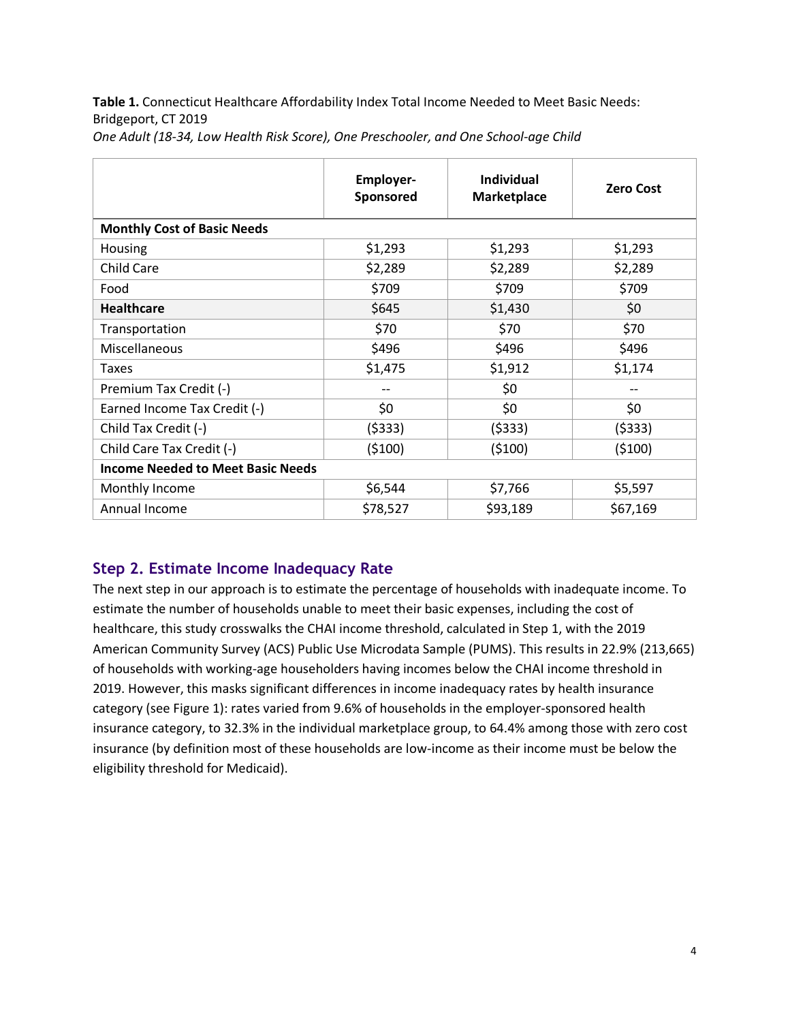**Table 1.** Connecticut Healthcare Affordability Index Total Income Needed to Meet Basic Needs: Bridgeport, CT 2019

|                                          | <b>Employer-</b><br>Sponsored | <b>Individual</b><br>Marketplace | <b>Zero Cost</b> |  |  |  |  |  |
|------------------------------------------|-------------------------------|----------------------------------|------------------|--|--|--|--|--|
| <b>Monthly Cost of Basic Needs</b>       |                               |                                  |                  |  |  |  |  |  |
| Housing                                  | \$1,293                       | \$1,293                          | \$1,293          |  |  |  |  |  |
| <b>Child Care</b>                        | \$2,289                       | \$2,289                          | \$2,289          |  |  |  |  |  |
| Food                                     | \$709                         | \$709                            | \$709            |  |  |  |  |  |
| <b>Healthcare</b>                        | \$645                         | \$1,430                          | \$0              |  |  |  |  |  |
| Transportation                           | \$70                          | \$70                             | \$70             |  |  |  |  |  |
| Miscellaneous                            | \$496                         | \$496                            | \$496            |  |  |  |  |  |
| <b>Taxes</b>                             | \$1,475                       | \$1,912                          | \$1,174          |  |  |  |  |  |
| Premium Tax Credit (-)                   |                               | \$0                              |                  |  |  |  |  |  |
| Earned Income Tax Credit (-)             | \$0                           | \$0                              | \$0              |  |  |  |  |  |
| Child Tax Credit (-)                     | (5333)                        | (5333)                           | (5333)           |  |  |  |  |  |
| Child Care Tax Credit (-)                | (5100)                        | (5100)                           | (5100)           |  |  |  |  |  |
| <b>Income Needed to Meet Basic Needs</b> |                               |                                  |                  |  |  |  |  |  |
| Monthly Income                           | \$6,544                       | \$7,766                          | \$5,597          |  |  |  |  |  |
| Annual Income                            | \$78,527                      | \$93,189                         | \$67,169         |  |  |  |  |  |

*One Adult (18-34, Low Health Risk Score), One Preschooler, and One School-age Child*

### **Step 2. Estimate Income Inadequacy Rate**

The next step in our approach is to estimate the percentage of households with inadequate income. To estimate the number of households unable to meet their basic expenses, including the cost of healthcare, this study crosswalks the CHAI income threshold, calculated in Step 1, with the 2019 American Community Survey (ACS) Public Use Microdata Sample (PUMS). This results in 22.9% (213,665) of households with working-age householders having incomes below the CHAI income threshold in 2019. However, this masks significant differences in income inadequacy rates by health insurance category (see [Figure 1\)](#page-4-0): rates varied from 9.6% of households in the employer-sponsored health insurance category, to 32.3% in the individual marketplace group, to 64.4% among those with zero cost insurance (by definition most of these households are low-income as their income must be below the eligibility threshold for Medicaid).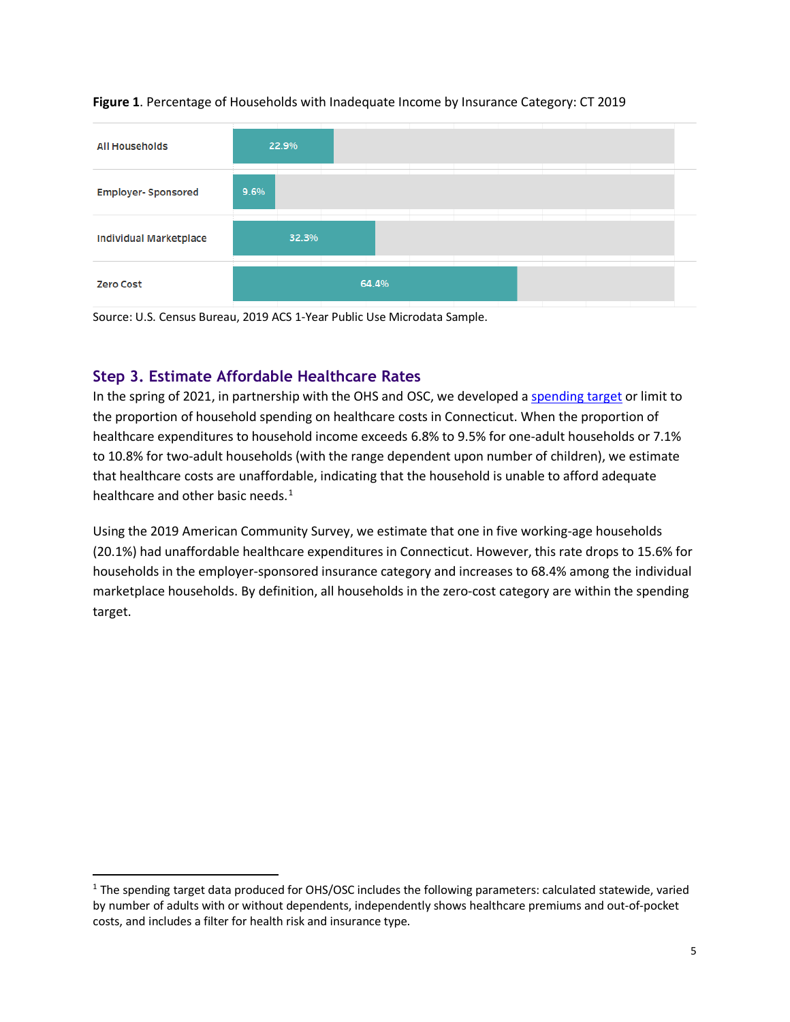

#### <span id="page-4-0"></span>**Figure 1**. Percentage of Households with Inadequate Income by Insurance Category: CT 2019

Source: U.S. Census Bureau, 2019 ACS 1-Year Public Use Microdata Sample.

### **Step 3. Estimate Affordable Healthcare Rates**

In the spring of 2021, in partnership with the OHS and OSC, we developed a [spending target](https://portal.ct.gov/healthscorect/-/media/HealthscoreCt/CT-Healthcare-Affordability-and-Household-Spending-Target-L-Manzer-Univ-of-Washington-June-2021.pdf) or limit to the proportion of household spending on healthcare costs in Connecticut. When the proportion of healthcare expenditures to household income exceeds 6.8% to 9.5% for one-adult households or 7.1% to 10.8% for two-adult households (with the range dependent upon number of children), we estimate that healthcare costs are unaffordable, indicating that the household is unable to afford adequate healthcare and other basic needs. $1$ 

Using the 2019 American Community Survey, we estimate that one in five working-age households (20.1%) had unaffordable healthcare expenditures in Connecticut. However, this rate drops to 15.6% for households in the employer-sponsored insurance category and increases to 68.4% among the individual marketplace households. By definition, all households in the zero-cost category are within the spending target.

<span id="page-4-1"></span><sup>&</sup>lt;sup>1</sup> The spending target data produced for OHS/OSC includes the following parameters: calculated statewide, varied by number of adults with or without dependents, independently shows healthcare premiums and out-of-pocket costs, and includes a filter for health risk and insurance type.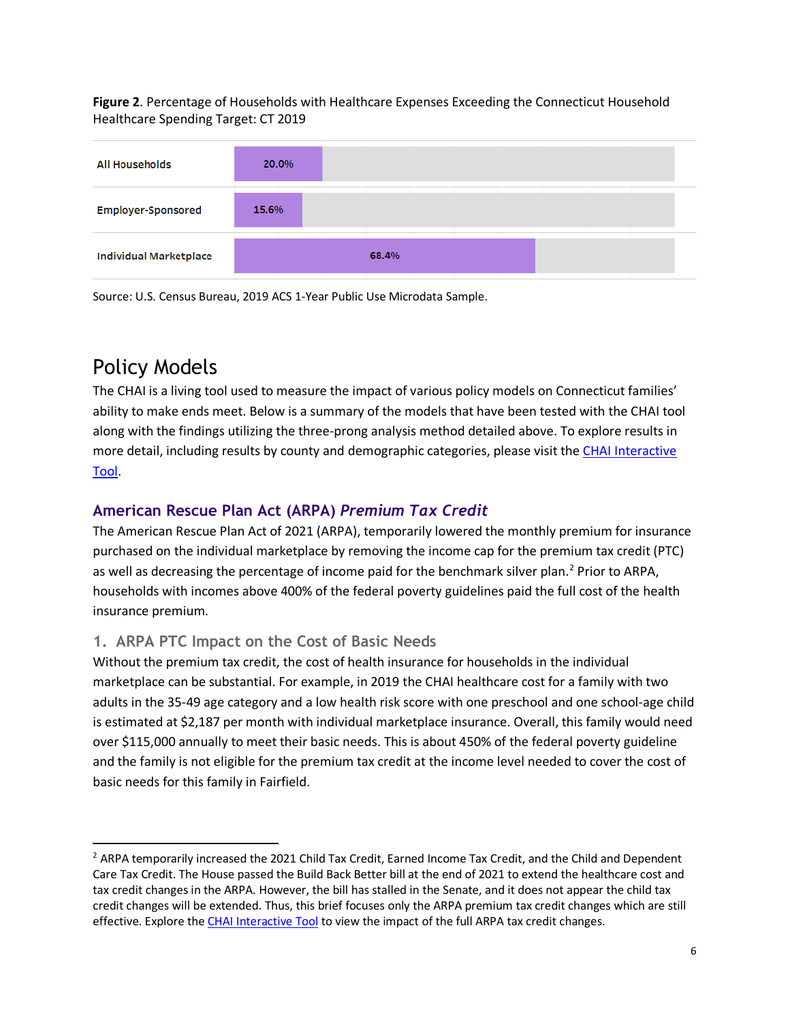**Figure 2**. Percentage of Households with Healthcare Expenses Exceeding the Connecticut Household Healthcare Spending Target: CT 2019



Source: U.S. Census Bureau, 2019 ACS 1-Year Public Use Microdata Sample.

# Policy Models

 $\overline{\phantom{a}}$ 

The CHAI is a living tool used to measure the impact of various policy models on Connecticut families' ability to make ends meet. Below is a summary of the models that have been tested with the CHAI tool along with the findings utilizing the three-prong analysis method detailed above. To explore results in more detail, including results by county and demographic categories, please visit the [CHAI Interactive](https://portal.ct.gov/healthscorect/CHAI-Interactive-Tool?language=en_US)  [Tool.](https://portal.ct.gov/healthscorect/CHAI-Interactive-Tool?language=en_US)

### **American Rescue Plan Act (ARPA)** *Premium Tax Credit*

The American Rescue Plan Act of 2021 (ARPA), temporarily lowered the monthly premium for insurance purchased on the individual marketplace by removing the income cap for the premium tax credit (PTC) as well as decreasing the percentage of income paid for the benchmark silver plan. [2](#page-5-0) Prior to ARPA, households with incomes above 400% of the federal poverty guidelines paid the full cost of the health insurance premium.

### **1. ARPA PTC Impact on the Cost of Basic Needs**

Without the premium tax credit, the cost of health insurance for households in the individual marketplace can be substantial. For example, in 2019 the CHAI healthcare cost for a family with two adults in the 35-49 age category and a low health risk score with one preschool and one school-age child is estimated at \$2,187 per month with individual marketplace insurance. Overall, this family would need over \$115,000 annually to meet their basic needs. This is about 450% of the federal poverty guideline and the family is not eligible for the premium tax credit at the income level needed to cover the cost of basic needs for this family in Fairfield.

<span id="page-5-0"></span><sup>&</sup>lt;sup>2</sup> ARPA temporarily increased the 2021 Child Tax Credit, Earned Income Tax Credit, and the Child and Dependent Care Tax Credit. The House passed the Build Back Better bill at the end of 2021 to extend the healthcare cost and tax credit changes in the ARPA. However, the bill has stalled in the Senate, and it does not appear the child tax credit changes will be extended. Thus, this brief focuses only the ARPA premium tax credit changes which are still effective. Explore the [CHAI Interactive Tool](https://portal.ct.gov/healthscorect/CHAI-Interactive-Tool?language=en_US) to view the impact of the full ARPA tax credit changes.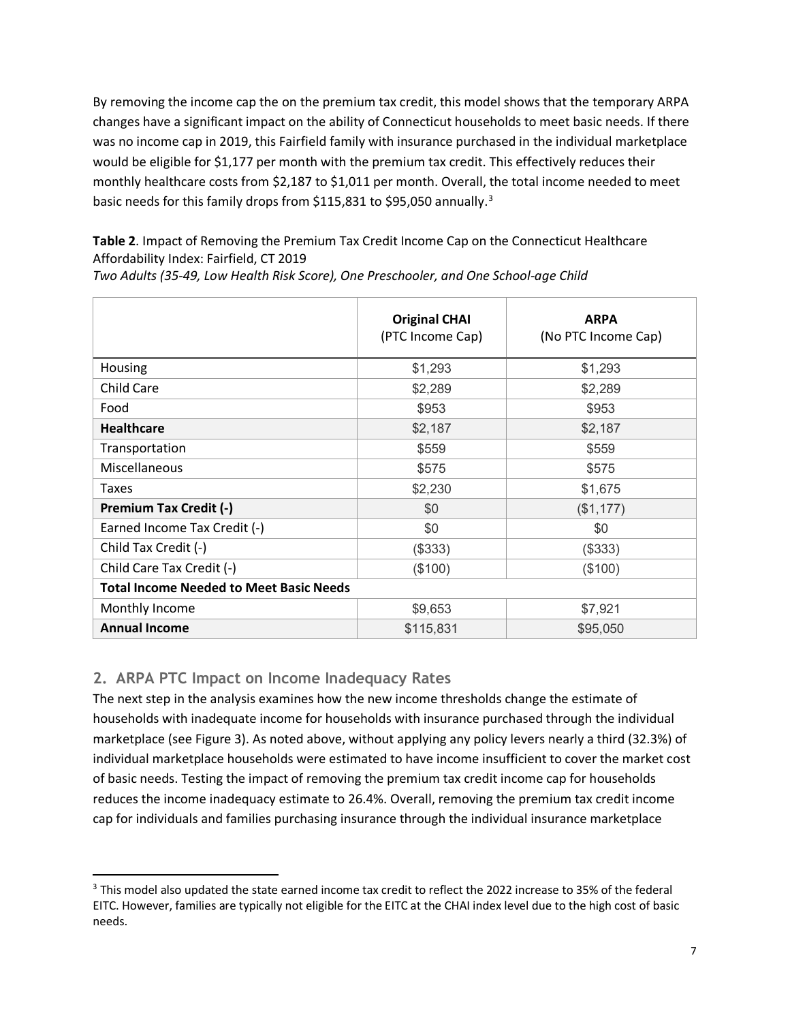By removing the income cap the on the premium tax credit, this model shows that the temporary ARPA changes have a significant impact on the ability of Connecticut households to meet basic needs. If there was no income cap in 2019, this Fairfield family with insurance purchased in the individual marketplace would be eligible for \$1,177 per month with the premium tax credit. This effectively reduces their monthly healthcare costs from \$2,187 to \$1,011 per month. Overall, the total income needed to meet basic needs for this family drops from \$115,8[3](#page-6-0)1 to \$95,050 annually.<sup>3</sup>

<span id="page-6-1"></span>**Table 2**. Impact of Removing the Premium Tax Credit Income Cap on the Connecticut Healthcare Affordability Index: Fairfield, CT 2019

*Two Adults (35-49, Low Health Risk Score), One Preschooler, and One School-age Child*

|                                                | <b>Original CHAI</b><br>(PTC Income Cap) | <b>ARPA</b><br>(No PTC Income Cap) |  |  |  |  |
|------------------------------------------------|------------------------------------------|------------------------------------|--|--|--|--|
| Housing                                        | \$1,293                                  | \$1,293                            |  |  |  |  |
| <b>Child Care</b>                              | \$2,289                                  | \$2,289                            |  |  |  |  |
| Food                                           | \$953                                    | \$953                              |  |  |  |  |
| <b>Healthcare</b>                              | \$2,187                                  | \$2,187                            |  |  |  |  |
| Transportation                                 | \$559                                    | \$559                              |  |  |  |  |
| Miscellaneous                                  | \$575                                    | \$575                              |  |  |  |  |
| Taxes                                          | \$2,230                                  | \$1,675                            |  |  |  |  |
| <b>Premium Tax Credit (-)</b>                  | \$0                                      | (\$1,177)                          |  |  |  |  |
| Earned Income Tax Credit (-)                   | \$0                                      | \$0                                |  |  |  |  |
| Child Tax Credit (-)                           | (\$333)                                  | (\$333)                            |  |  |  |  |
| Child Care Tax Credit (-)                      | (\$100)                                  | (\$100)                            |  |  |  |  |
| <b>Total Income Needed to Meet Basic Needs</b> |                                          |                                    |  |  |  |  |
| Monthly Income                                 | \$9,653                                  | \$7,921                            |  |  |  |  |
| <b>Annual Income</b>                           | \$115,831                                | \$95,050                           |  |  |  |  |

### **2. ARPA PTC Impact on Income Inadequacy Rates**

The next step in the analysis examines how the new income thresholds change the estimate of households with inadequate income for households with insurance purchased through the individual marketplace (see [Figure 3\)](#page-7-0). As noted above, without applying any policy levers nearly a third (32.3%) of individual marketplace households were estimated to have income insufficient to cover the market cost of basic needs. Testing the impact of removing the premium tax credit income cap for households reduces the income inadequacy estimate to 26.4%. Overall, removing the premium tax credit income cap for individuals and families purchasing insurance through the individual insurance marketplace

<span id="page-6-0"></span><sup>&</sup>lt;sup>3</sup> This model also updated the state earned income tax credit to reflect the 2022 increase to 35% of the federal EITC. However, families are typically not eligible for the EITC at the CHAI index level due to the high cost of basic needs.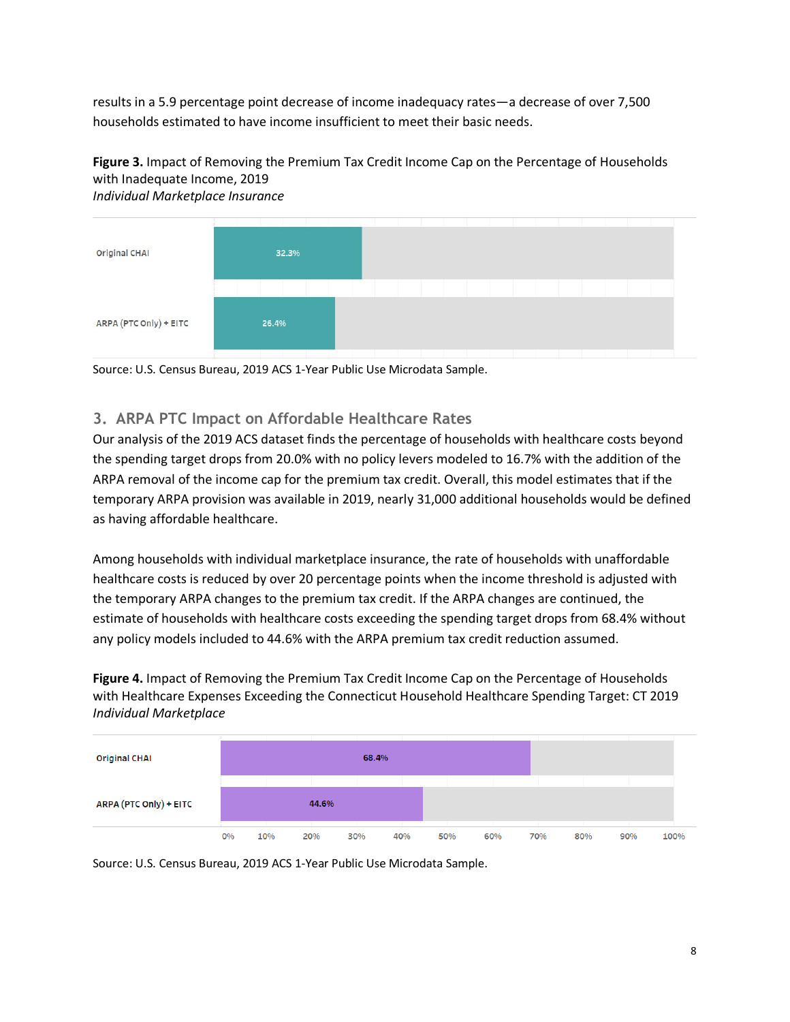results in a 5.9 percentage point decrease of income inadequacy rates—a decrease of over 7,500 households estimated to have income insufficient to meet their basic needs.

### <span id="page-7-0"></span>**Figure 3.** Impact of Removing the Premium Tax Credit Income Cap on the Percentage of Households with Inadequate Income, 2019



*Individual Marketplace Insurance*

Source: U.S. Census Bureau, 2019 ACS 1-Year Public Use Microdata Sample.

### **3. ARPA PTC Impact on Affordable Healthcare Rates**

Our analysis of the 2019 ACS dataset finds the percentage of households with healthcare costs beyond the spending target drops from 20.0% with no policy levers modeled to 16.7% with the addition of the ARPA removal of the income cap for the premium tax credit. Overall, this model estimates that if the temporary ARPA provision was available in 2019, nearly 31,000 additional households would be defined as having affordable healthcare.

Among households with individual marketplace insurance, the rate of households with unaffordable healthcare costs is reduced by over 20 percentage points when the income threshold is adjusted with the temporary ARPA changes to the premium tax credit. If the ARPA changes are continued, the estimate of households with healthcare costs exceeding the spending target drops from 68.4% without any policy models included to 44.6% with the ARPA premium tax credit reduction assumed.

**Figure 4.** Impact of Removing the Premium Tax Credit Income Cap on the Percentage of Households with Healthcare Expenses Exceeding the Connecticut Household Healthcare Spending Target: CT 2019 *Individual Marketplace*



Source: U.S. Census Bureau, 2019 ACS 1-Year Public Use Microdata Sample.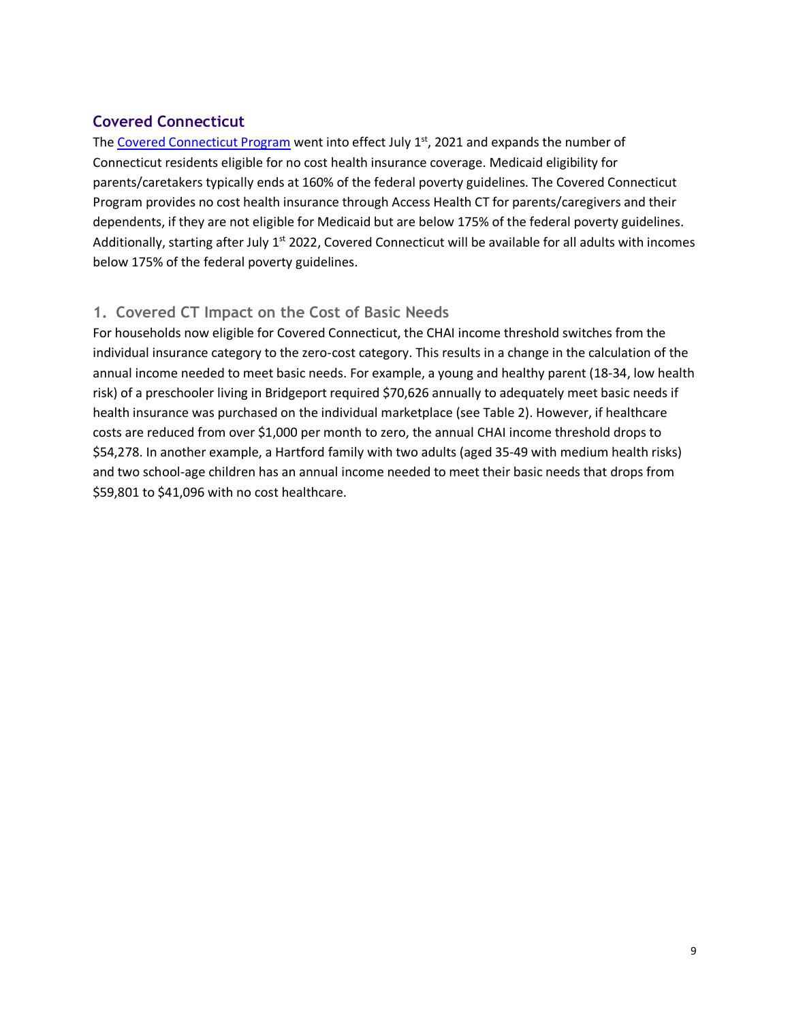### **Covered Connecticut**

The [Covered Connecticut Program](https://www.cga.ct.gov/asp/cgabillstatus/cgabillstatus.asp?selBillType=Bill&which_year=2021&bill_num=1202) went into effect July  $1<sup>st</sup>$ , 2021 and expands the number of Connecticut residents eligible for no cost health insurance coverage. Medicaid eligibility for parents/caretakers typically ends at 160% of the federal poverty guidelines. The Covered Connecticut Program provides no cost health insurance through Access Health CT for parents/caregivers and their dependents, if they are not eligible for Medicaid but are below 175% of the federal poverty guidelines. Additionally, starting after July  $1<sup>st</sup> 2022$ , Covered Connecticut will be available for all adults with incomes below 175% of the federal poverty guidelines.

### **1. Covered CT Impact on the Cost of Basic Needs**

<span id="page-8-0"></span>For households now eligible for Covered Connecticut, the CHAI income threshold switches from the individual insurance category to the zero-cost category. This results in a change in the calculation of the annual income needed to meet basic needs. For example, a young and healthy parent (18-34, low health risk) of a preschooler living in Bridgeport required \$70,626 annually to adequately meet basic needs if health insurance was purchased on the individual marketplace (se[e Table 2\)](#page-8-0). However, if healthcare costs are reduced from over \$1,000 per month to zero, the annual CHAI income threshold drops to \$54,278. In another example, a Hartford family with two adults (aged 35-49 with medium health risks) and two school-age children has an annual income needed to meet their basic needs that drops from \$59,801 to \$41,096 with no cost healthcare.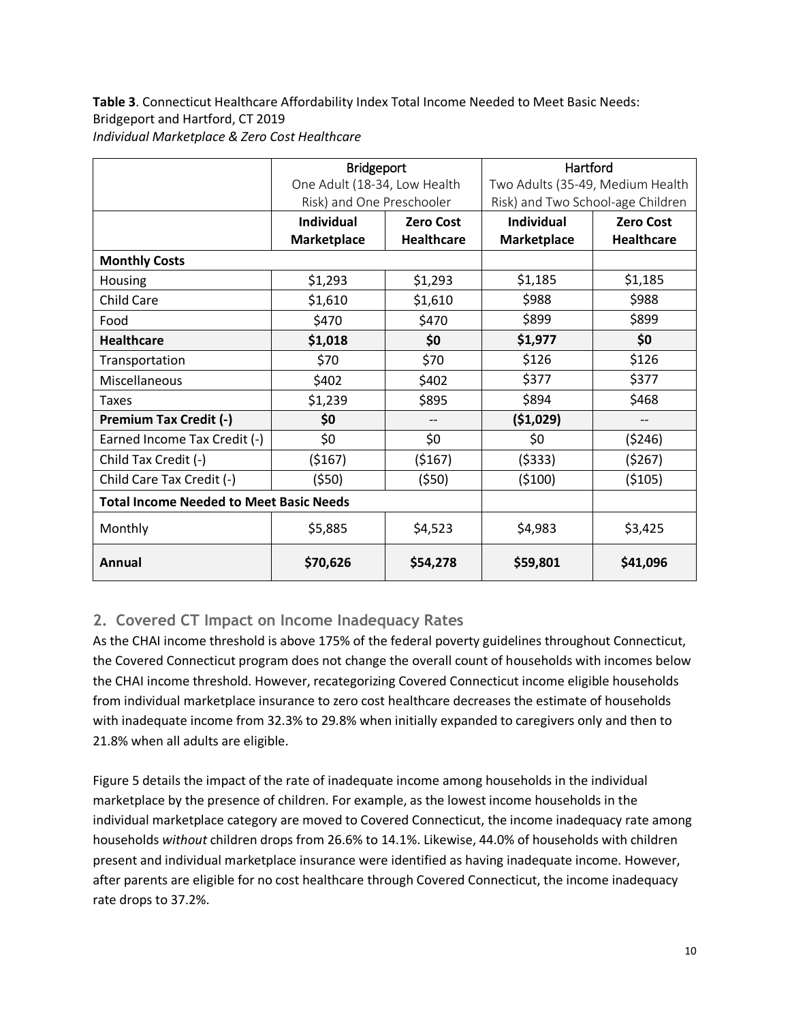**Table 3**. Connecticut Healthcare Affordability Index Total Income Needed to Meet Basic Needs: Bridgeport and Hartford, CT 2019 *Individual Marketplace & Zero Cost Healthcare*

|                                                | <b>Bridgeport</b>            |                   | Hartford                          |                          |  |  |
|------------------------------------------------|------------------------------|-------------------|-----------------------------------|--------------------------|--|--|
|                                                | One Adult (18-34, Low Health |                   | Two Adults (35-49, Medium Health  |                          |  |  |
|                                                | Risk) and One Preschooler    |                   | Risk) and Two School-age Children |                          |  |  |
|                                                | <b>Individual</b>            | <b>Zero Cost</b>  | <b>Individual</b>                 | <b>Zero Cost</b>         |  |  |
|                                                | <b>Marketplace</b>           | <b>Healthcare</b> | Marketplace                       | <b>Healthcare</b>        |  |  |
| <b>Monthly Costs</b>                           |                              |                   |                                   |                          |  |  |
| Housing                                        | \$1,293                      | \$1,293           | \$1,185                           | \$1,185                  |  |  |
| <b>Child Care</b>                              | \$1,610                      | \$1,610           | \$988                             | \$988                    |  |  |
| Food                                           | \$470                        | \$470             | \$899                             | \$899                    |  |  |
| <b>Healthcare</b>                              | \$1,018                      | \$0               |                                   | \$0                      |  |  |
| Transportation                                 | \$70                         | \$70              | \$126                             | \$126                    |  |  |
| Miscellaneous                                  | \$402                        | \$402             | \$377                             | \$377                    |  |  |
| <b>Taxes</b>                                   | \$1,239                      | \$895             | \$894                             | \$468                    |  |  |
| <b>Premium Tax Credit (-)</b>                  | \$0                          | --                | (51,029)                          | $\overline{\phantom{a}}$ |  |  |
| Earned Income Tax Credit (-)                   | \$0                          | \$0               | \$0                               | (5246)                   |  |  |
| Child Tax Credit (-)                           | (5167)                       | (5167)            | (5333)                            | (5267)                   |  |  |
| Child Care Tax Credit (-)                      | (550)                        | (\$50)            | (5100)                            | ( \$105)                 |  |  |
| <b>Total Income Needed to Meet Basic Needs</b> |                              |                   |                                   |                          |  |  |
| Monthly                                        | \$5,885                      | \$4,523           | \$4,983                           | \$3,425                  |  |  |
| Annual                                         | \$70,626<br>\$54,278         |                   | \$59,801                          | \$41,096                 |  |  |

### **2. Covered CT Impact on Income Inadequacy Rates**

As the CHAI income threshold is above 175% of the federal poverty guidelines throughout Connecticut, the Covered Connecticut program does not change the overall count of households with incomes below the CHAI income threshold. However, recategorizing Covered Connecticut income eligible households from individual marketplace insurance to zero cost healthcare decreases the estimate of households with inadequate income from 32.3% to 29.8% when initially expanded to caregivers only and then to 21.8% when all adults are eligible.

[Figure 5](#page-10-0) details the impact of the rate of inadequate income among households in the individual marketplace by the presence of children. For example, as the lowest income households in the individual marketplace category are moved to Covered Connecticut, the income inadequacy rate among households *without* children drops from 26.6% to 14.1%. Likewise, 44.0% of households with children present and individual marketplace insurance were identified as having inadequate income. However, after parents are eligible for no cost healthcare through Covered Connecticut, the income inadequacy rate drops to 37.2%.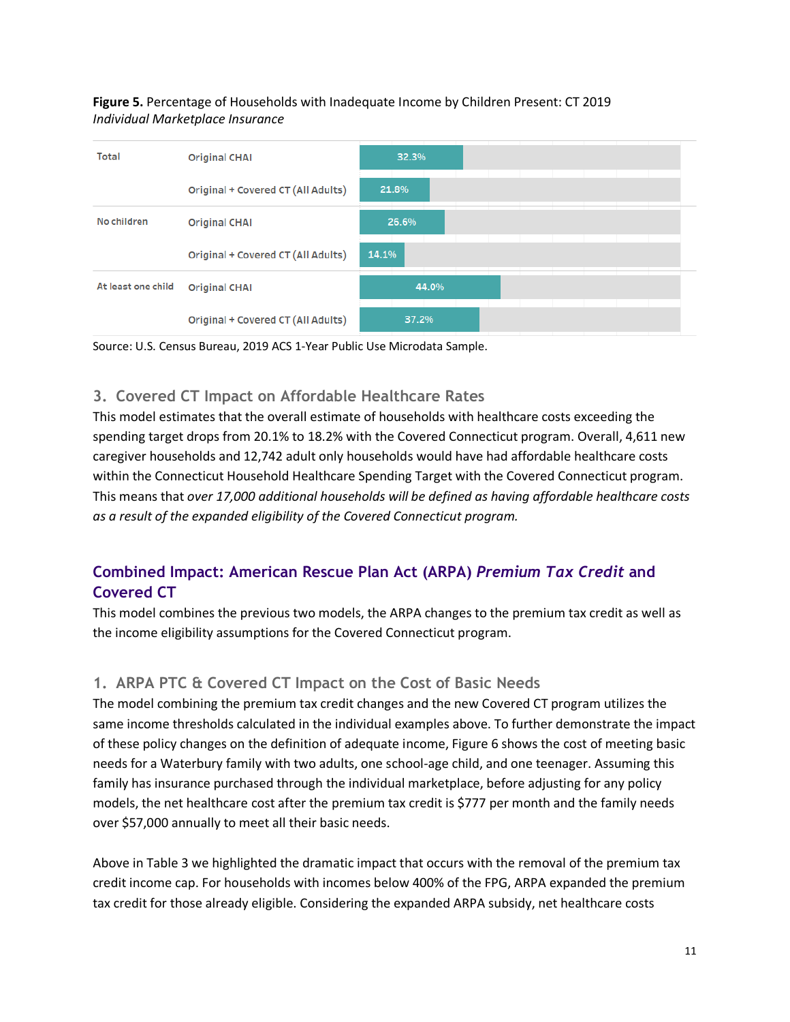<span id="page-10-0"></span>**Figure 5.** Percentage of Households with Inadequate Income by Children Present: CT 2019 *Individual Marketplace Insurance*





### **3. Covered CT Impact on Affordable Healthcare Rates**

This model estimates that the overall estimate of households with healthcare costs exceeding the spending target drops from 20.1% to 18.2% with the Covered Connecticut program. Overall, 4,611 new caregiver households and 12,742 adult only households would have had affordable healthcare costs within the Connecticut Household Healthcare Spending Target with the Covered Connecticut program. This means that *over 17,000 additional households will be defined as having affordable healthcare costs as a result of the expanded eligibility of the Covered Connecticut program.*

## **Combined Impact: American Rescue Plan Act (ARPA)** *Premium Tax Credit* **and Covered CT**

This model combines the previous two models, the ARPA changes to the premium tax credit as well as the income eligibility assumptions for the Covered Connecticut program.

### **1. ARPA PTC & Covered CT Impact on the Cost of Basic Needs**

The model combining the premium tax credit changes and the new Covered CT program utilizes the same income thresholds calculated in the individual examples above. To further demonstrate the impact of these policy changes on the definition of adequate income[, Figure 6](#page-11-0) shows the cost of meeting basic needs for a Waterbury family with two adults, one school-age child, and one teenager. Assuming this family has insurance purchased through the individual marketplace, before adjusting for any policy models, the net healthcare cost after the premium tax credit is \$777 per month and the family needs over \$57,000 annually to meet all their basic needs.

Above i[n Table 3](#page-6-1) we highlighted the dramatic impact that occurs with the removal of the premium tax credit income cap. For households with incomes below 400% of the FPG, ARPA expanded the premium tax credit for those already eligible. Considering the expanded ARPA subsidy, net healthcare costs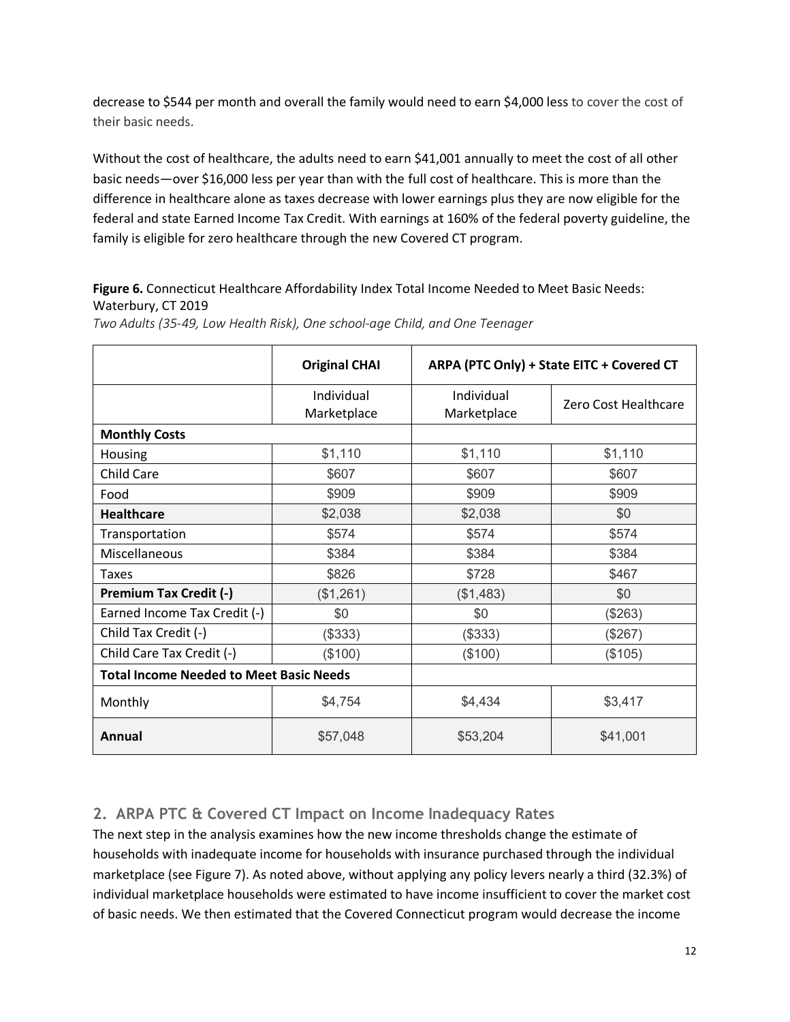decrease to \$544 per month and overall the family would need to earn \$4,000 less to cover the cost of their basic needs.

Without the cost of healthcare, the adults need to earn \$41,001 annually to meet the cost of all other basic needs—over \$16,000 less per year than with the full cost of healthcare. This is more than the difference in healthcare alone as taxes decrease with lower earnings plus they are now eligible for the federal and state Earned Income Tax Credit. With earnings at 160% of the federal poverty guideline, the family is eligible for zero healthcare through the new Covered CT program.

#### <span id="page-11-0"></span>**Figure 6.** Connecticut Healthcare Affordability Index Total Income Needed to Meet Basic Needs: Waterbury, CT 2019

|                                                | <b>Original CHAI</b>      | ARPA (PTC Only) + State EITC + Covered CT |                      |  |
|------------------------------------------------|---------------------------|-------------------------------------------|----------------------|--|
|                                                | Individual<br>Marketplace | Individual<br>Marketplace                 | Zero Cost Healthcare |  |
| <b>Monthly Costs</b>                           |                           |                                           |                      |  |
| Housing                                        | \$1,110                   | \$1,110                                   | \$1,110              |  |
| <b>Child Care</b>                              | \$607                     | \$607                                     | \$607                |  |
| Food                                           | \$909                     | \$909                                     | \$909                |  |
| <b>Healthcare</b>                              | \$2,038                   | \$2,038                                   | \$0                  |  |
| Transportation                                 | \$574                     | \$574                                     | \$574                |  |
| Miscellaneous                                  | \$384                     | \$384                                     | \$384                |  |
| Taxes                                          | \$826                     | \$728                                     | \$467                |  |
| Premium Tax Credit (-)                         | (\$1,261)                 | (\$1,483)                                 | \$0                  |  |
| Earned Income Tax Credit (-)                   | \$0                       | \$0                                       | (\$263)              |  |
| Child Tax Credit (-)                           | (\$333)                   | (\$333)                                   | (\$267)              |  |
| Child Care Tax Credit (-)                      | (\$100)                   | (\$100)                                   | (\$105)              |  |
| <b>Total Income Needed to Meet Basic Needs</b> |                           |                                           |                      |  |
| Monthly                                        | \$4,754                   | \$4,434                                   | \$3,417              |  |
| Annual                                         | \$57,048                  | \$53,204                                  | \$41,001             |  |

*Two Adults (35-49, Low Health Risk), One school-age Child, and One Teenager*

### **2. ARPA PTC & Covered CT Impact on Income Inadequacy Rates**

The next step in the analysis examines how the new income thresholds change the estimate of households with inadequate income for households with insurance purchased through the individual marketplace (se[e Figure 7\)](#page-12-0). As noted above, without applying any policy levers nearly a third (32.3%) of individual marketplace households were estimated to have income insufficient to cover the market cost of basic needs. We then estimated that the Covered Connecticut program would decrease the income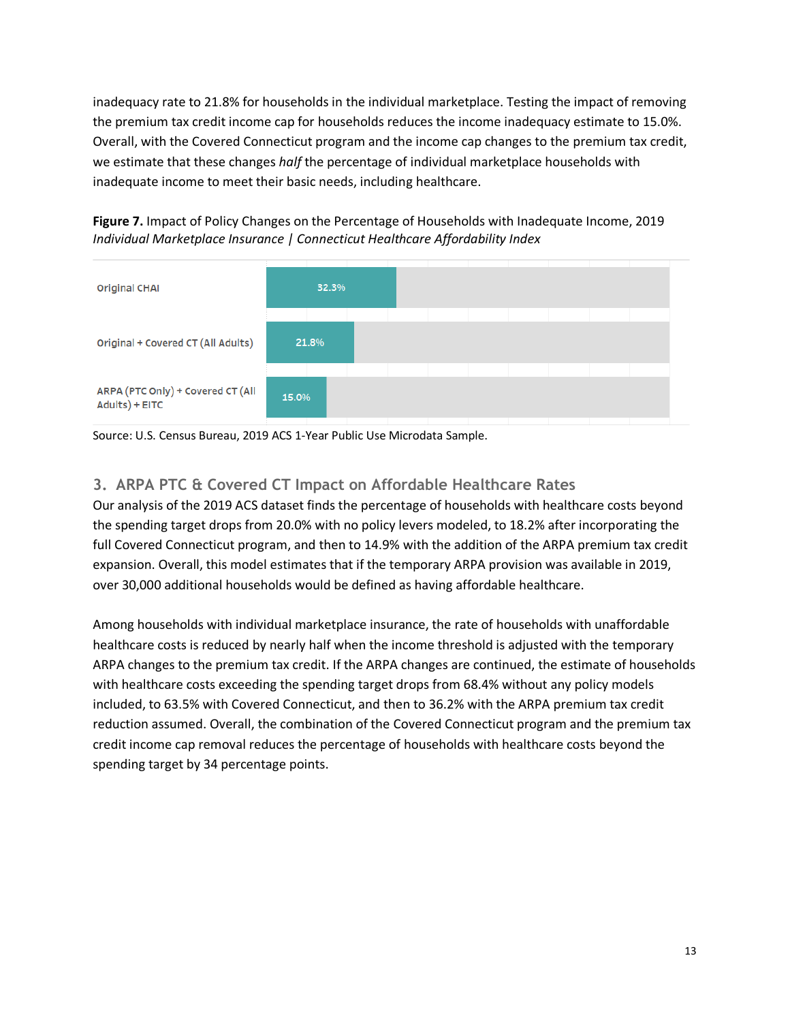inadequacy rate to 21.8% for households in the individual marketplace. Testing the impact of removing the premium tax credit income cap for households reduces the income inadequacy estimate to 15.0%. Overall, with the Covered Connecticut program and the income cap changes to the premium tax credit, we estimate that these changes *half* the percentage of individual marketplace households with inadequate income to meet their basic needs, including healthcare.



<span id="page-12-0"></span>**Figure 7.** Impact of Policy Changes on the Percentage of Households with Inadequate Income, 2019 *Individual Marketplace Insurance | Connecticut Healthcare Affordability Index*

### **3. ARPA PTC & Covered CT Impact on Affordable Healthcare Rates**

Our analysis of the 2019 ACS dataset finds the percentage of households with healthcare costs beyond the spending target drops from 20.0% with no policy levers modeled, to 18.2% after incorporating the full Covered Connecticut program, and then to 14.9% with the addition of the ARPA premium tax credit expansion. Overall, this model estimates that if the temporary ARPA provision was available in 2019, over 30,000 additional households would be defined as having affordable healthcare.

Among households with individual marketplace insurance, the rate of households with unaffordable healthcare costs is reduced by nearly half when the income threshold is adjusted with the temporary ARPA changes to the premium tax credit. If the ARPA changes are continued, the estimate of households with healthcare costs exceeding the spending target drops from 68.4% without any policy models included, to 63.5% with Covered Connecticut, and then to 36.2% with the ARPA premium tax credit reduction assumed. Overall, the combination of the Covered Connecticut program and the premium tax credit income cap removal reduces the percentage of households with healthcare costs beyond the spending target by 34 percentage points.

Source: U.S. Census Bureau, 2019 ACS 1-Year Public Use Microdata Sample.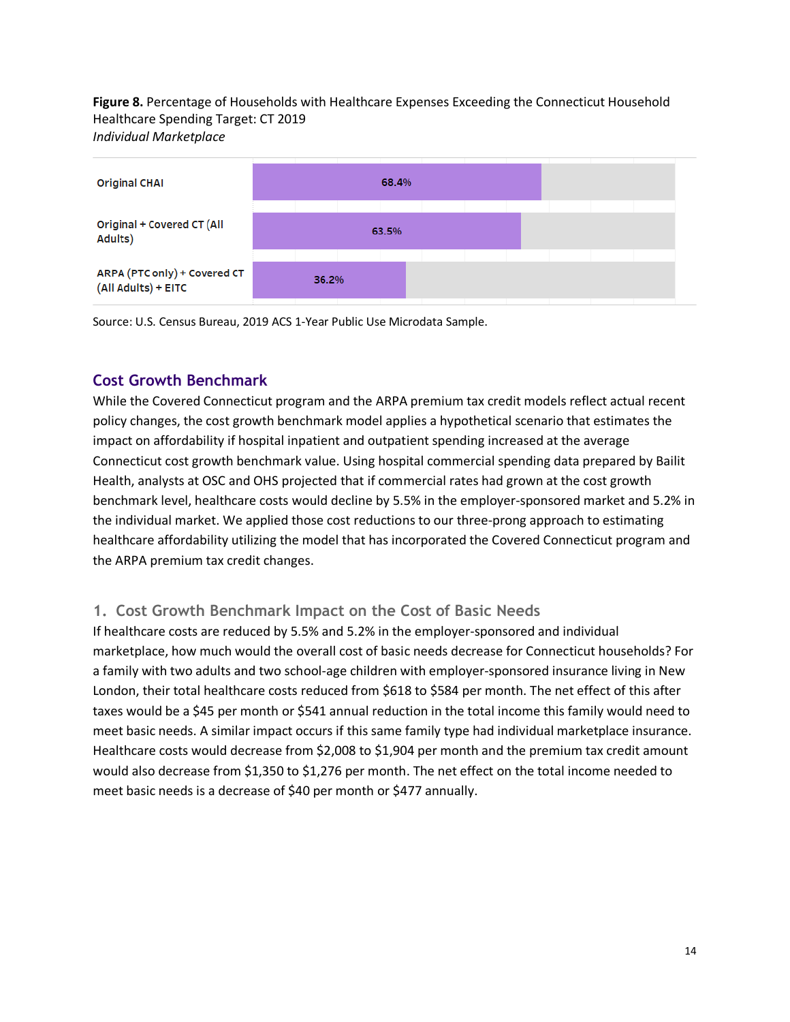**Figure 8.** Percentage of Households with Healthcare Expenses Exceeding the Connecticut Household Healthcare Spending Target: CT 2019 *Individual Marketplace*



Source: U.S. Census Bureau, 2019 ACS 1-Year Public Use Microdata Sample.

### **Cost Growth Benchmark**

While the Covered Connecticut program and the ARPA premium tax credit models reflect actual recent policy changes, the cost growth benchmark model applies a hypothetical scenario that estimates the impact on affordability if hospital inpatient and outpatient spending increased at the average Connecticut cost growth benchmark value. Using hospital commercial spending data prepared by Bailit Health, analysts at OSC and OHS projected that if commercial rates had grown at the cost growth benchmark level, healthcare costs would decline by 5.5% in the employer-sponsored market and 5.2% in the individual market. We applied those cost reductions to our three-prong approach to estimating healthcare affordability utilizing the model that has incorporated the Covered Connecticut program and the ARPA premium tax credit changes.

### **1. Cost Growth Benchmark Impact on the Cost of Basic Needs**

If healthcare costs are reduced by 5.5% and 5.2% in the employer-sponsored and individual marketplace, how much would the overall cost of basic needs decrease for Connecticut households? For a family with two adults and two school-age children with employer-sponsored insurance living in New London, their total healthcare costs reduced from \$618 to \$584 per month. The net effect of this after taxes would be a \$45 per month or \$541 annual reduction in the total income this family would need to meet basic needs. A similar impact occurs if this same family type had individual marketplace insurance. Healthcare costs would decrease from \$2,008 to \$1,904 per month and the premium tax credit amount would also decrease from \$1,350 to \$1,276 per month. The net effect on the total income needed to meet basic needs is a decrease of \$40 per month or \$477 annually.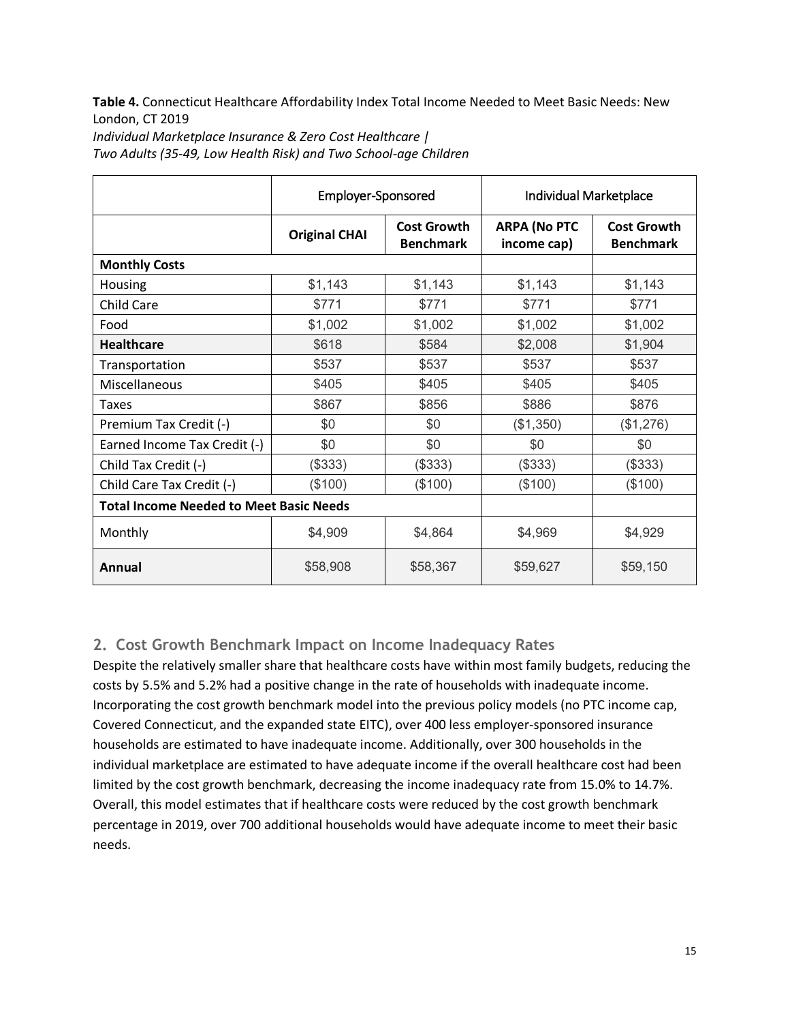**Table 4.** Connecticut Healthcare Affordability Index Total Income Needed to Meet Basic Needs: New London, CT 2019

|                                                | Employer-Sponsored   |                                        | Individual Marketplace             |                                        |  |  |
|------------------------------------------------|----------------------|----------------------------------------|------------------------------------|----------------------------------------|--|--|
|                                                | <b>Original CHAI</b> | <b>Cost Growth</b><br><b>Benchmark</b> | <b>ARPA (No PTC</b><br>income cap) | <b>Cost Growth</b><br><b>Benchmark</b> |  |  |
| <b>Monthly Costs</b>                           |                      |                                        |                                    |                                        |  |  |
| Housing                                        | \$1,143              | \$1,143                                | \$1,143                            | \$1,143                                |  |  |
| <b>Child Care</b>                              | \$771                | \$771                                  | \$771                              | \$771                                  |  |  |
| Food                                           | \$1,002              | \$1,002                                | \$1,002                            | \$1,002                                |  |  |
| <b>Healthcare</b>                              | \$618                | \$584                                  | \$2,008                            | \$1,904                                |  |  |
| Transportation                                 | \$537                | \$537                                  | \$537                              | \$537                                  |  |  |
| <b>Miscellaneous</b>                           | \$405                | \$405                                  | \$405                              | \$405                                  |  |  |
| <b>Taxes</b>                                   | \$867                | \$856                                  | \$886                              | \$876                                  |  |  |
| Premium Tax Credit (-)                         | \$0                  | \$0                                    | (\$1,350)                          | (\$1,276)                              |  |  |
| Earned Income Tax Credit (-)                   | \$0                  | \$0                                    | \$0                                | \$0                                    |  |  |
| Child Tax Credit (-)                           | (\$333)              | (\$333)                                | (\$333)                            | (\$333)                                |  |  |
| Child Care Tax Credit (-)                      | (\$100)              | (\$100)                                | (\$100)                            | (\$100)                                |  |  |
| <b>Total Income Needed to Meet Basic Needs</b> |                      |                                        |                                    |                                        |  |  |
| Monthly                                        | \$4,909              | \$4,864                                | \$4,969                            | \$4,929                                |  |  |
| Annual                                         | \$58,908             | \$58,367                               | \$59,627                           | \$59,150                               |  |  |

*Individual Marketplace Insurance & Zero Cost Healthcare |* 

*Two Adults (35-49, Low Health Risk) and Two School-age Children*

### **2. Cost Growth Benchmark Impact on Income Inadequacy Rates**

Despite the relatively smaller share that healthcare costs have within most family budgets, reducing the costs by 5.5% and 5.2% had a positive change in the rate of households with inadequate income. Incorporating the cost growth benchmark model into the previous policy models (no PTC income cap, Covered Connecticut, and the expanded state EITC), over 400 less employer-sponsored insurance households are estimated to have inadequate income. Additionally, over 300 households in the individual marketplace are estimated to have adequate income if the overall healthcare cost had been limited by the cost growth benchmark, decreasing the income inadequacy rate from 15.0% to 14.7%. Overall, this model estimates that if healthcare costs were reduced by the cost growth benchmark percentage in 2019, over 700 additional households would have adequate income to meet their basic needs.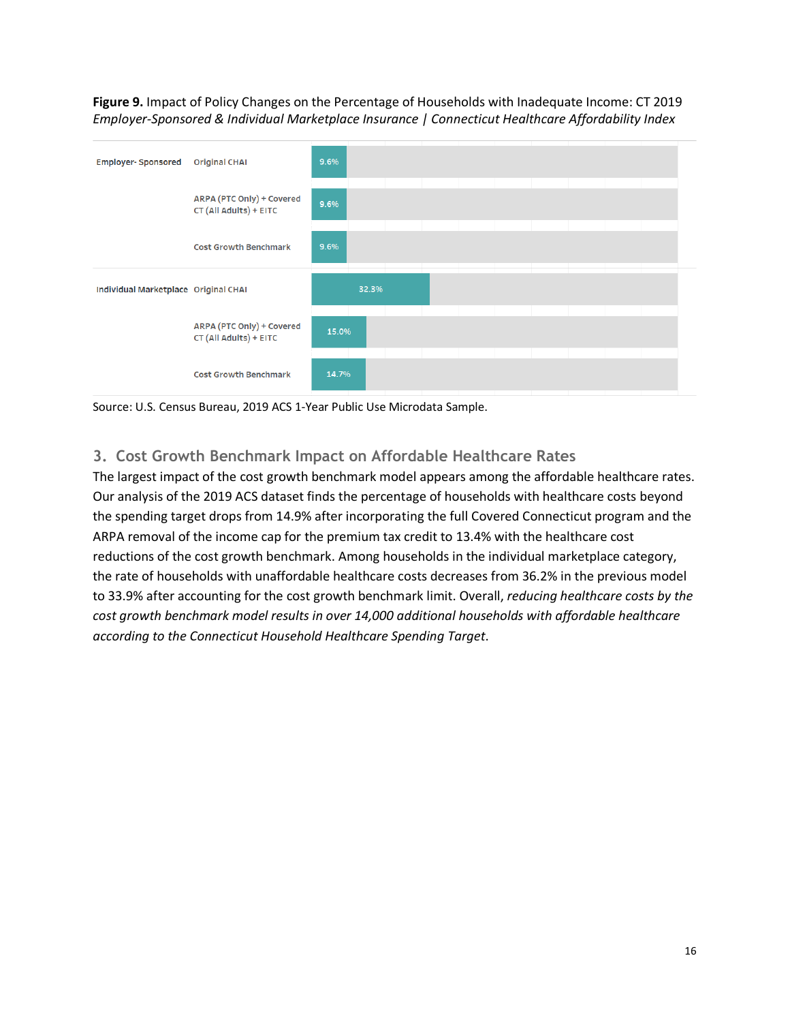**Figure 9.** Impact of Policy Changes on the Percentage of Households with Inadequate Income: CT 2019 *Employer-Sponsored & Individual Marketplace Insurance | Connecticut Healthcare Affordability Index*



Source: U.S. Census Bureau, 2019 ACS 1-Year Public Use Microdata Sample.

### **3. Cost Growth Benchmark Impact on Affordable Healthcare Rates**

The largest impact of the cost growth benchmark model appears among the affordable healthcare rates. Our analysis of the 2019 ACS dataset finds the percentage of households with healthcare costs beyond the spending target drops from 14.9% after incorporating the full Covered Connecticut program and the ARPA removal of the income cap for the premium tax credit to 13.4% with the healthcare cost reductions of the cost growth benchmark. Among households in the individual marketplace category, the rate of households with unaffordable healthcare costs decreases from 36.2% in the previous model to 33.9% after accounting for the cost growth benchmark limit. Overall, *reducing healthcare costs by the cost growth benchmark model results in over 14,000 additional households with affordable healthcare according to the Connecticut Household Healthcare Spending Target*.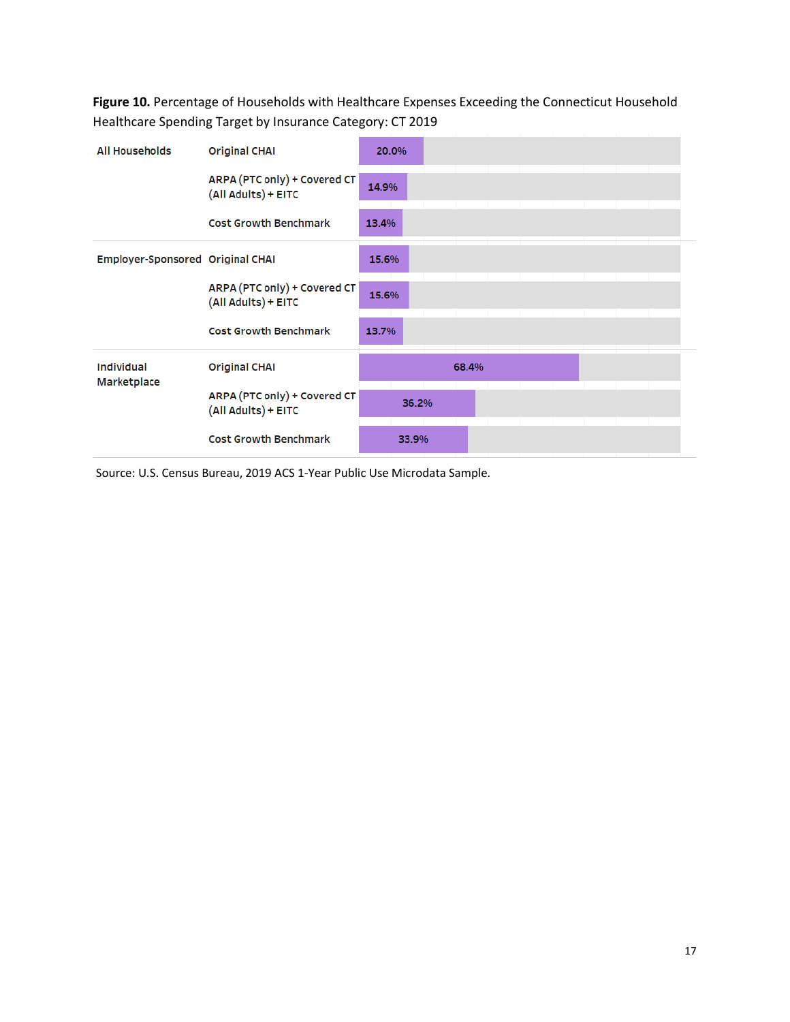**Figure 10.** Percentage of Households with Healthcare Expenses Exceeding the Connecticut Household Healthcare Spending Target by Insurance Category: CT 2019

| <b>All Households</b>            | <b>Original CHAI</b>                                | 20.0% |       |       |  |  |  |
|----------------------------------|-----------------------------------------------------|-------|-------|-------|--|--|--|
|                                  | ARPA (PTC only) + Covered CT<br>(All Adults) + EITC | 14.9% |       |       |  |  |  |
|                                  | <b>Cost Growth Benchmark</b>                        | 13.4% |       |       |  |  |  |
| Employer-Sponsored Original CHAI |                                                     | 15.6% |       |       |  |  |  |
|                                  | ARPA (PTC only) + Covered CT<br>(All Adults) + EITC | 15.6% |       |       |  |  |  |
|                                  | <b>Cost Growth Benchmark</b>                        | 13.7% |       |       |  |  |  |
| Individual<br>Marketplace        | <b>Original CHAI</b>                                |       |       | 68.4% |  |  |  |
|                                  | ARPA (PTC only) + Covered CT<br>(All Adults) + EITC |       | 36.2% |       |  |  |  |
|                                  | <b>Cost Growth Benchmark</b>                        |       | 33.9% |       |  |  |  |

Source: U.S. Census Bureau, 2019 ACS 1-Year Public Use Microdata Sample.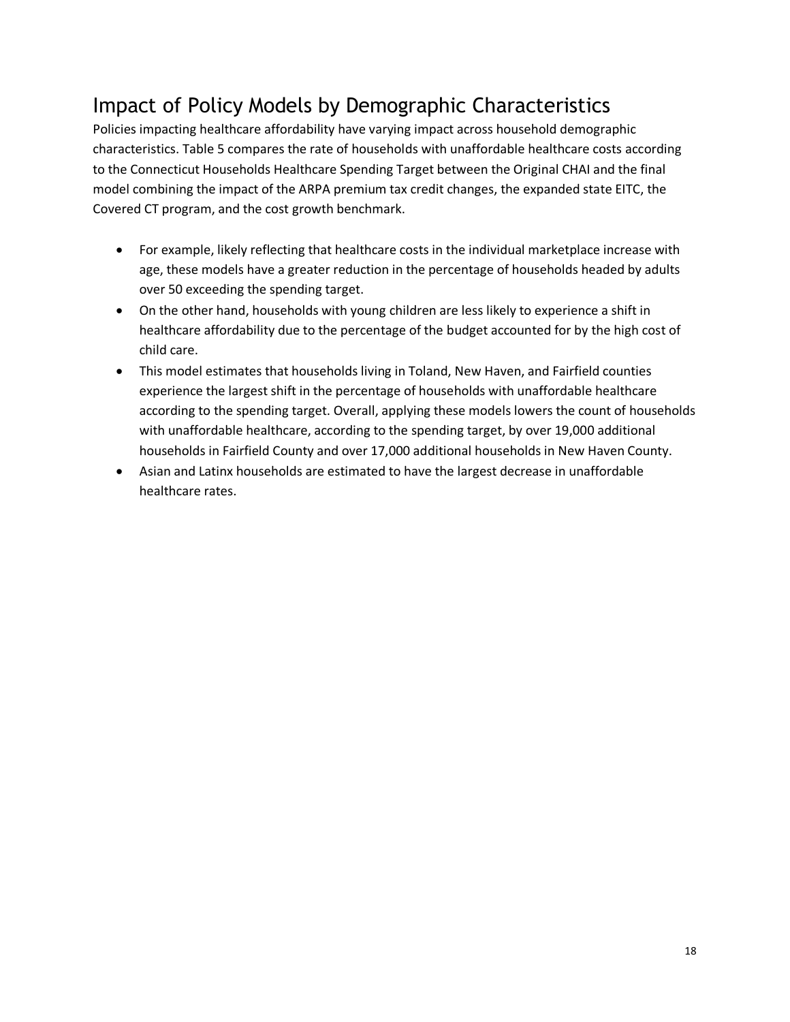# Impact of Policy Models by Demographic Characteristics

Policies impacting healthcare affordability have varying impact across household demographic characteristics. [Table 5](#page-17-0) compares the rate of households with unaffordable healthcare costs according to the Connecticut Households Healthcare Spending Target between the Original CHAI and the final model combining the impact of the ARPA premium tax credit changes, the expanded state EITC, the Covered CT program, and the cost growth benchmark.

- For example, likely reflecting that healthcare costs in the individual marketplace increase with age, these models have a greater reduction in the percentage of households headed by adults over 50 exceeding the spending target.
- On the other hand, households with young children are less likely to experience a shift in healthcare affordability due to the percentage of the budget accounted for by the high cost of child care.
- This model estimates that households living in Toland, New Haven, and Fairfield counties experience the largest shift in the percentage of households with unaffordable healthcare according to the spending target. Overall, applying these models lowers the count of households with unaffordable healthcare, according to the spending target, by over 19,000 additional households in Fairfield County and over 17,000 additional households in New Haven County.
- <span id="page-17-0"></span>• Asian and Latinx households are estimated to have the largest decrease in unaffordable healthcare rates.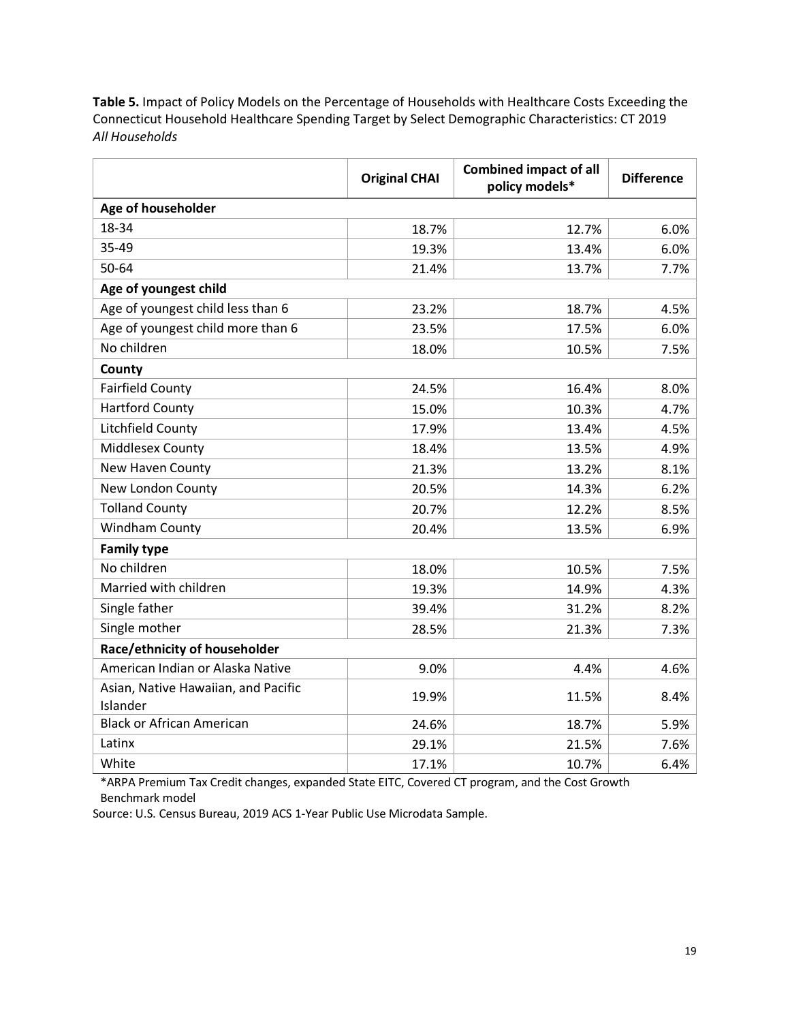**Table 5.** Impact of Policy Models on the Percentage of Households with Healthcare Costs Exceeding the Connecticut Household Healthcare Spending Target by Select Demographic Characteristics: CT 2019 *All Households*

|                                                 | <b>Original CHAI</b> | <b>Combined impact of all</b><br>policy models* | <b>Difference</b> |
|-------------------------------------------------|----------------------|-------------------------------------------------|-------------------|
| Age of householder                              |                      |                                                 |                   |
| 18-34                                           | 18.7%                | 12.7%                                           | 6.0%              |
| 35-49                                           | 19.3%                | 13.4%                                           | 6.0%              |
| 50-64                                           | 21.4%                | 13.7%                                           | 7.7%              |
| Age of youngest child                           |                      |                                                 |                   |
| Age of youngest child less than 6               | 23.2%                | 18.7%                                           | 4.5%              |
| Age of youngest child more than 6               | 23.5%                | 17.5%                                           | 6.0%              |
| No children                                     | 18.0%                | 10.5%                                           | 7.5%              |
| County                                          |                      |                                                 |                   |
| <b>Fairfield County</b>                         | 24.5%                | 16.4%                                           | 8.0%              |
| <b>Hartford County</b>                          | 15.0%                | 10.3%                                           | 4.7%              |
| Litchfield County                               | 17.9%                | 13.4%                                           | 4.5%              |
| Middlesex County                                | 18.4%                | 13.5%                                           | 4.9%              |
| New Haven County                                | 21.3%                | 13.2%                                           | 8.1%              |
| New London County                               | 20.5%                | 14.3%                                           | 6.2%              |
| <b>Tolland County</b>                           | 20.7%                | 12.2%                                           | 8.5%              |
| Windham County                                  | 20.4%                | 13.5%                                           | 6.9%              |
| <b>Family type</b>                              |                      |                                                 |                   |
| No children                                     | 18.0%                | 10.5%                                           | 7.5%              |
| Married with children                           | 19.3%                | 14.9%                                           | 4.3%              |
| Single father                                   | 39.4%                | 31.2%                                           | 8.2%              |
| Single mother                                   | 28.5%                | 21.3%                                           | 7.3%              |
| Race/ethnicity of householder                   |                      |                                                 |                   |
| American Indian or Alaska Native                | 9.0%                 | 4.4%                                            | 4.6%              |
| Asian, Native Hawaiian, and Pacific<br>Islander | 19.9%                | 11.5%                                           | 8.4%              |
| <b>Black or African American</b>                | 24.6%                | 18.7%                                           | 5.9%              |
| Latinx                                          | 29.1%                | 21.5%                                           | 7.6%              |
| White                                           | 17.1%                | 10.7%                                           | 6.4%              |

\*ARPA Premium Tax Credit changes, expanded State EITC, Covered CT program, and the Cost Growth Benchmark model

Source: U.S. Census Bureau, 2019 ACS 1-Year Public Use Microdata Sample.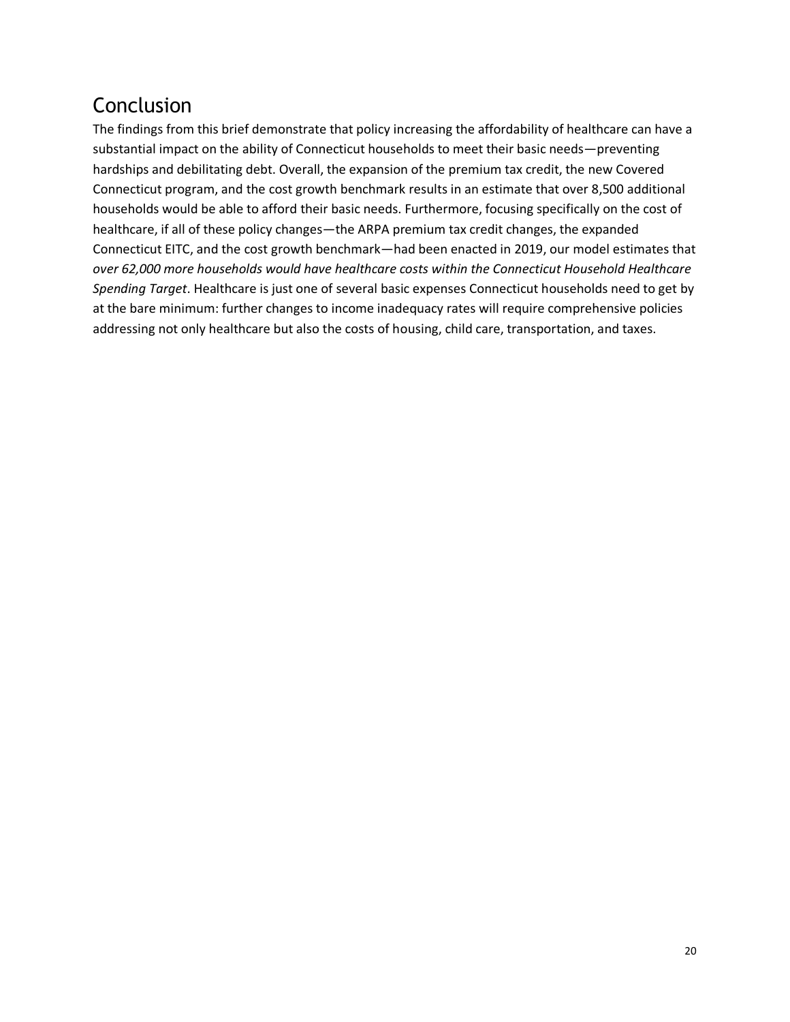# Conclusion

The findings from this brief demonstrate that policy increasing the affordability of healthcare can have a substantial impact on the ability of Connecticut households to meet their basic needs—preventing hardships and debilitating debt. Overall, the expansion of the premium tax credit, the new Covered Connecticut program, and the cost growth benchmark results in an estimate that over 8,500 additional households would be able to afford their basic needs. Furthermore, focusing specifically on the cost of healthcare, if all of these policy changes—the ARPA premium tax credit changes, the expanded Connecticut EITC, and the cost growth benchmark—had been enacted in 2019, our model estimates that *over 62,000 more households would have healthcare costs within the Connecticut Household Healthcare Spending Target*. Healthcare is just one of several basic expenses Connecticut households need to get by at the bare minimum: further changes to income inadequacy rates will require comprehensive policies addressing not only healthcare but also the costs of housing, child care, transportation, and taxes.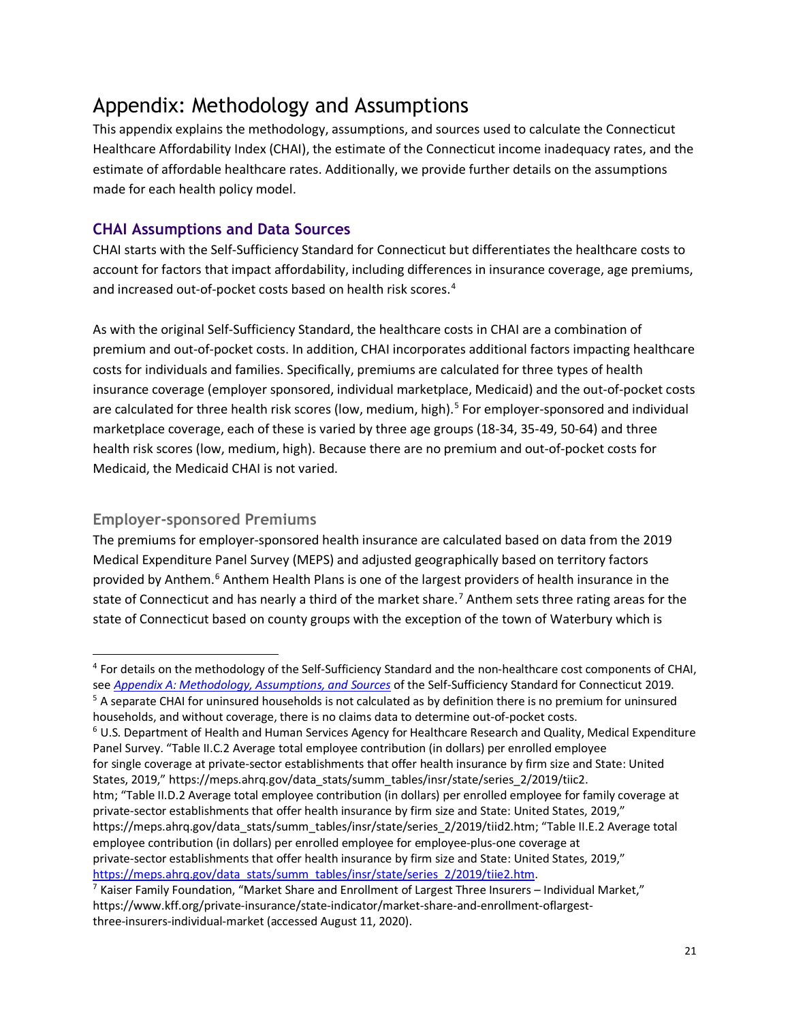# Appendix: Methodology and Assumptions

This appendix explains the methodology, assumptions, and sources used to calculate the Connecticut Healthcare Affordability Index (CHAI), the estimate of the Connecticut income inadequacy rates, and the estimate of affordable healthcare rates. Additionally, we provide further details on the assumptions made for each health policy model.

### **CHAI Assumptions and Data Sources**

CHAI starts with the Self-Sufficiency Standard for Connecticut but differentiates the healthcare costs to account for factors that impact affordability, including differences in insurance coverage, age premiums, and increased out-of-pocket costs based on health risk scores.<sup>[4](#page-20-0)</sup>

As with the original Self-Sufficiency Standard, the healthcare costs in CHAI are a combination of premium and out-of-pocket costs. In addition, CHAI incorporates additional factors impacting healthcare costs for individuals and families. Specifically, premiums are calculated for three types of health insurance coverage (employer sponsored, individual marketplace, Medicaid) and the out-of-pocket costs are calculated for three health risk scores (low, medium, high).<sup>[5](#page-20-1)</sup> For employer-sponsored and individual marketplace coverage, each of these is varied by three age groups (18-34, 35-49, 50-64) and three health risk scores (low, medium, high). Because there are no premium and out-of-pocket costs for Medicaid, the Medicaid CHAI is not varied.

### **Employer-sponsored Premiums**

The premiums for employer-sponsored health insurance are calculated based on data from the 2019 Medical Expenditure Panel Survey (MEPS) and adjusted geographically based on territory factors provided by Anthem.<sup>[6](#page-20-2)</sup> Anthem Health Plans is one of the largest providers of health insurance in the state of Connecticut and has nearly a third of the market share.<sup>[7](#page-20-3)</sup> Anthem sets three rating areas for the state of Connecticut based on county groups with the exception of the town of Waterbury which is

<span id="page-20-2"></span><sup>6</sup> U.S. Department of Health and Human Services Agency for Healthcare Research and Quality, Medical Expenditure Panel Survey. "Table II.C.2 Average total employee contribution (in dollars) per enrolled employee

<span id="page-20-0"></span> <sup>4</sup> For details on the methodology of the Self-Sufficiency Standard and the non-healthcare cost components of CHAI, see *[Appendix A: Methodology, Assumptions, and Sources](https://selfsufficiencystandard.org/connecticut/wp-content/uploads/2021/10/CT2019_SSS.pdf)* of the Self-Sufficiency Standard for Connecticut 2019. <sup>5</sup> A separate CHAI for uninsured households is not calculated as by definition there is no premium for uninsured

<span id="page-20-1"></span>households, and without coverage, there is no claims data to determine out-of-pocket costs.

for single coverage at private-sector establishments that offer health insurance by firm size and State: United States, 2019," https://meps.ahrq.gov/data\_stats/summ\_tables/insr/state/series\_2/2019/tiic2.

htm; "Table II.D.2 Average total employee contribution (in dollars) per enrolled employee for family coverage at private-sector establishments that offer health insurance by firm size and State: United States, 2019," https://meps.ahrq.gov/data\_stats/summ\_tables/insr/state/series\_2/2019/tiid2.htm; "Table II.E.2 Average total employee contribution (in dollars) per enrolled employee for employee-plus-one coverage at private-sector establishments that offer health insurance by firm size and State: United States, 2019," [https://meps.ahrq.gov/data\\_stats/summ\\_tables/insr/state/series\\_2/2019/tiie2.htm.](https://meps.ahrq.gov/data_stats/summ_tables/insr/state/series_2/2019/tiie2.htm)

<span id="page-20-3"></span> $^7$  Kaiser Family Foundation, "Market Share and Enrollment of Largest Three Insurers – Individual Market," https://www.kff.org/private-insurance/state-indicator/market-share-and-enrollment-oflargestthree-insurers-individual-market (accessed August 11, 2020).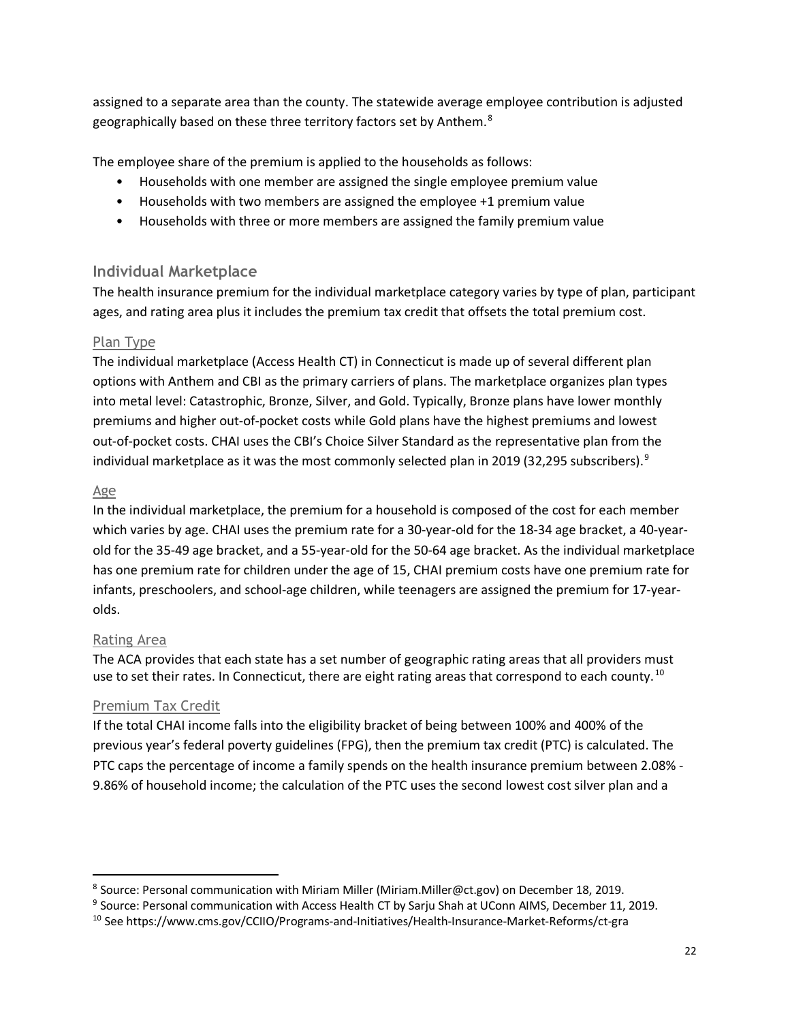assigned to a separate area than the county. The statewide average employee contribution is adjusted geographically based on these three territory factors set by Anthem.<sup>[8](#page-21-0)</sup>

The employee share of the premium is applied to the households as follows:

- Households with one member are assigned the single employee premium value
- Households with two members are assigned the employee +1 premium value
- Households with three or more members are assigned the family premium value

### **Individual Marketplace**

The health insurance premium for the individual marketplace category varies by type of plan, participant ages, and rating area plus it includes the premium tax credit that offsets the total premium cost.

#### Plan Type

The individual marketplace (Access Health CT) in Connecticut is made up of several different plan options with Anthem and CBI as the primary carriers of plans. The marketplace organizes plan types into metal level: Catastrophic, Bronze, Silver, and Gold. Typically, Bronze plans have lower monthly premiums and higher out-of-pocket costs while Gold plans have the highest premiums and lowest out-of-pocket costs. CHAI uses the CBI's Choice Silver Standard as the representative plan from the individual marketplace as it was the most commonly selected plan in 201[9](#page-21-1) (32,295 subscribers). $9$ 

#### Age

In the individual marketplace, the premium for a household is composed of the cost for each member which varies by age. CHAI uses the premium rate for a 30-year-old for the 18-34 age bracket, a 40-yearold for the 35-49 age bracket, and a 55-year-old for the 50-64 age bracket. As the individual marketplace has one premium rate for children under the age of 15, CHAI premium costs have one premium rate for infants, preschoolers, and school-age children, while teenagers are assigned the premium for 17-yearolds.

#### Rating Area

The ACA provides that each state has a set number of geographic rating areas that all providers must use to set their rates. In Connecticut, there are eight rating areas that correspond to each county.<sup>[10](#page-21-2)</sup>

### Premium Tax Credit

If the total CHAI income falls into the eligibility bracket of being between 100% and 400% of the previous year's federal poverty guidelines (FPG), then the premium tax credit (PTC) is calculated. The PTC caps the percentage of income a family spends on the health insurance premium between 2.08% - 9.86% of household income; the calculation of the PTC uses the second lowest cost silver plan and a

<span id="page-21-0"></span> <sup>8</sup> Source: Personal communication with Miriam Miller (Miriam.Miller@ct.gov) on December 18, 2019.

<span id="page-21-1"></span><sup>&</sup>lt;sup>9</sup> Source: Personal communication with Access Health CT by Sarju Shah at UConn AIMS, December 11, 2019.

<span id="page-21-2"></span><sup>10</sup> See https://www.cms.gov/CCIIO/Programs-and-Initiatives/Health-Insurance-Market-Reforms/ct-gra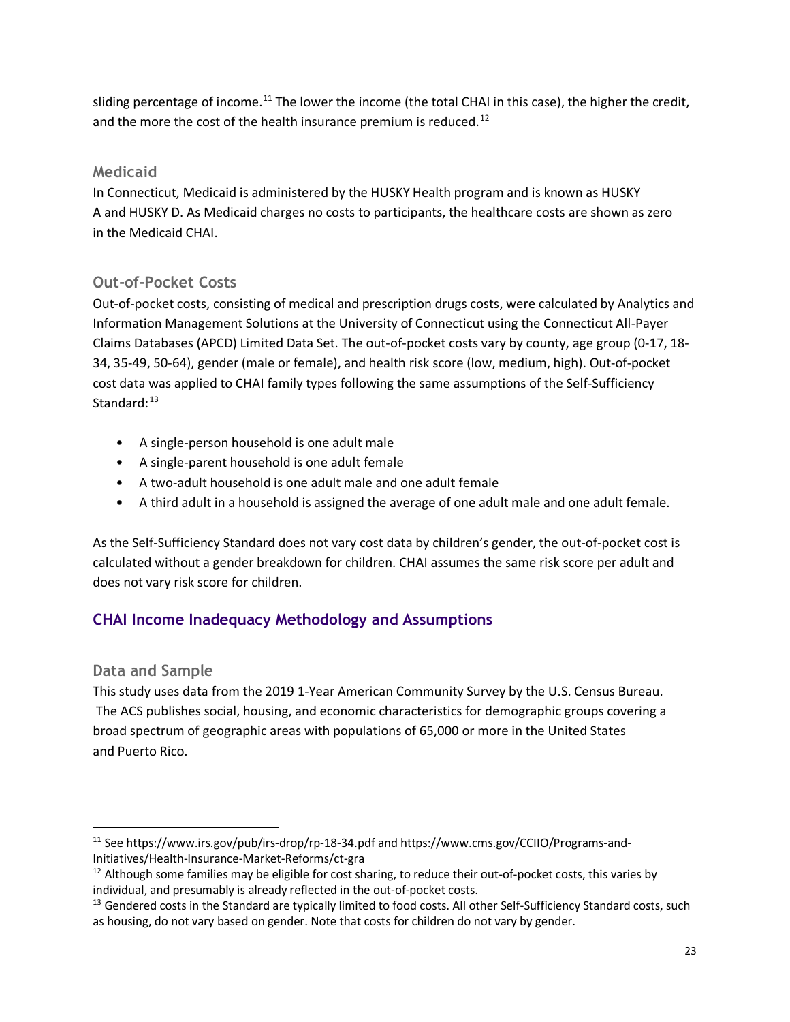sliding percentage of income.<sup>[11](#page-22-0)</sup> The lower the income (the total CHAI in this case), the higher the credit, and the more the cost of the health insurance premium is reduced.<sup>[12](#page-22-1)</sup>

### **Medicaid**

In Connecticut, Medicaid is administered by the HUSKY Health program and is known as HUSKY A and HUSKY D. As Medicaid charges no costs to participants, the healthcare costs are shown as zero in the Medicaid CHAI.

### **Out-of-Pocket Costs**

Out-of-pocket costs, consisting of medical and prescription drugs costs, were calculated by Analytics and Information Management Solutions at the University of Connecticut using the Connecticut All-Payer Claims Databases (APCD) Limited Data Set. The out-of-pocket costs vary by county, age group (0-17, 18- 34, 35-49, 50-64), gender (male or female), and health risk score (low, medium, high). Out-of-pocket cost data was applied to CHAI family types following the same assumptions of the Self-Sufficiency Standard: $13$ 

- A single-person household is one adult male
- A single-parent household is one adult female
- A two-adult household is one adult male and one adult female
- A third adult in a household is assigned the average of one adult male and one adult female.

As the Self-Sufficiency Standard does not vary cost data by children's gender, the out-of-pocket cost is calculated without a gender breakdown for children. CHAI assumes the same risk score per adult and does not vary risk score for children.

### **CHAI Income Inadequacy Methodology and Assumptions**

### **Data and Sample**

This study uses data from the 2019 1-Year American Community Survey by the U.S. Census Bureau. The ACS publishes social, housing, and economic characteristics for demographic groups covering a broad spectrum of geographic areas with populations of 65,000 or more in the United States and Puerto Rico.

<span id="page-22-0"></span> <sup>11</sup> See https://www.irs.gov/pub/irs-drop/rp-18-34.pdf and https://www.cms.gov/CCIIO/Programs-and-Initiatives/Health-Insurance-Market-Reforms/ct-gra

<span id="page-22-1"></span> $12$  Although some families may be eligible for cost sharing, to reduce their out-of-pocket costs, this varies by individual, and presumably is already reflected in the out-of-pocket costs.

<span id="page-22-2"></span><sup>&</sup>lt;sup>13</sup> Gendered costs in the Standard are typically limited to food costs. All other Self-Sufficiency Standard costs, such as housing, do not vary based on gender. Note that costs for children do not vary by gender.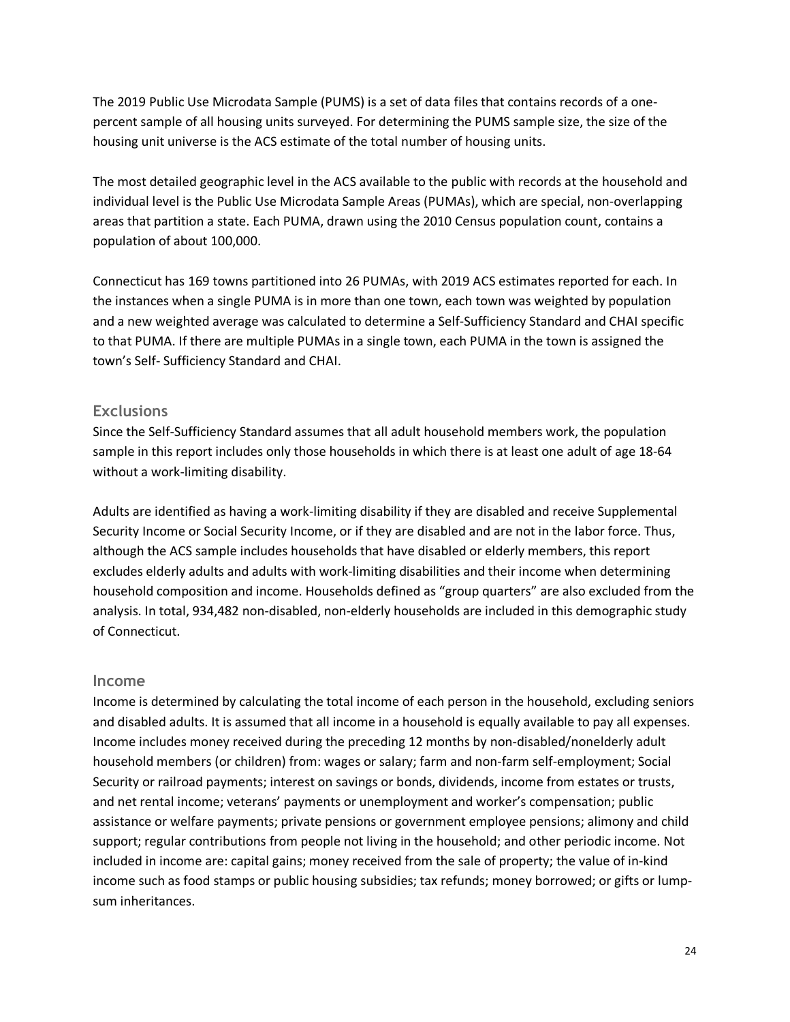The 2019 Public Use Microdata Sample (PUMS) is a set of data files that contains records of a onepercent sample of all housing units surveyed. For determining the PUMS sample size, the size of the housing unit universe is the ACS estimate of the total number of housing units.

The most detailed geographic level in the ACS available to the public with records at the household and individual level is the Public Use Microdata Sample Areas (PUMAs), which are special, non-overlapping areas that partition a state. Each PUMA, drawn using the 2010 Census population count, contains a population of about 100,000.

Connecticut has 169 towns partitioned into 26 PUMAs, with 2019 ACS estimates reported for each. In the instances when a single PUMA is in more than one town, each town was weighted by population and a new weighted average was calculated to determine a Self-Sufficiency Standard and CHAI specific to that PUMA. If there are multiple PUMAs in a single town, each PUMA in the town is assigned the town's Self- Sufficiency Standard and CHAI.

#### **Exclusions**

Since the Self-Sufficiency Standard assumes that all adult household members work, the population sample in this report includes only those households in which there is at least one adult of age 18-64 without a work-limiting disability.

Adults are identified as having a work-limiting disability if they are disabled and receive Supplemental Security Income or Social Security Income, or if they are disabled and are not in the labor force. Thus, although the ACS sample includes households that have disabled or elderly members, this report excludes elderly adults and adults with work-limiting disabilities and their income when determining household composition and income. Households defined as "group quarters" are also excluded from the analysis. In total, 934,482 non-disabled, non-elderly households are included in this demographic study of Connecticut.

#### **Income**

Income is determined by calculating the total income of each person in the household, excluding seniors and disabled adults. It is assumed that all income in a household is equally available to pay all expenses. Income includes money received during the preceding 12 months by non-disabled/nonelderly adult household members (or children) from: wages or salary; farm and non-farm self-employment; Social Security or railroad payments; interest on savings or bonds, dividends, income from estates or trusts, and net rental income; veterans' payments or unemployment and worker's compensation; public assistance or welfare payments; private pensions or government employee pensions; alimony and child support; regular contributions from people not living in the household; and other periodic income. Not included in income are: capital gains; money received from the sale of property; the value of in-kind income such as food stamps or public housing subsidies; tax refunds; money borrowed; or gifts or lumpsum inheritances.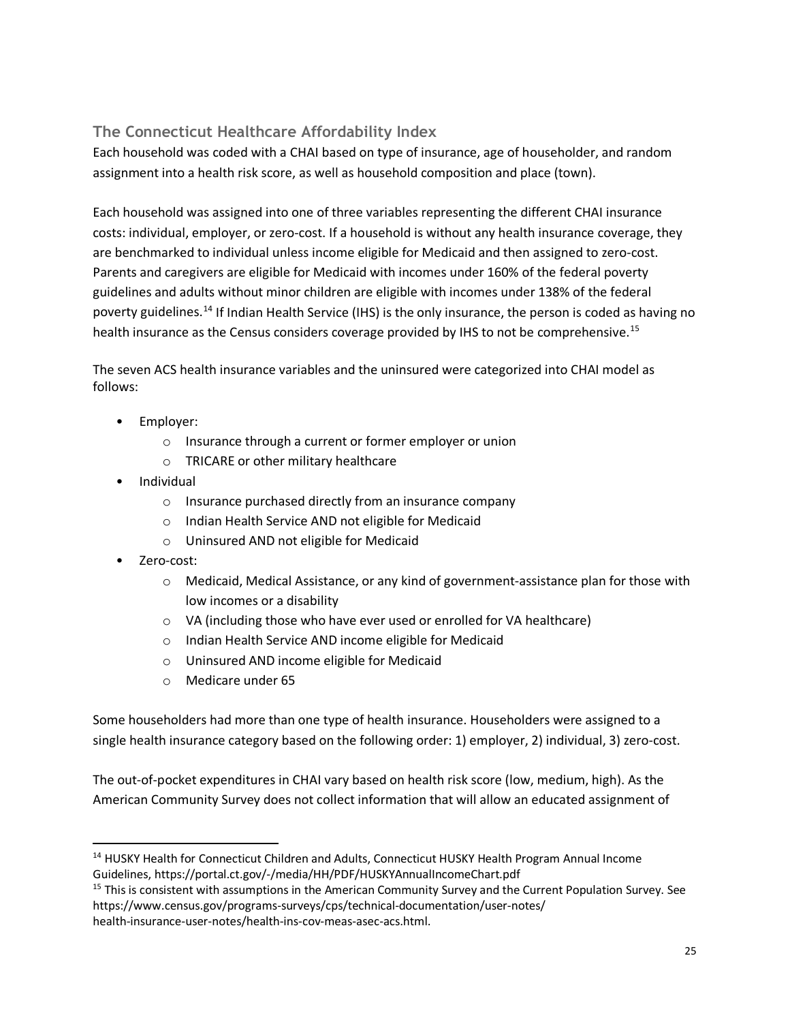### **The Connecticut Healthcare Affordability Index**

Each household was coded with a CHAI based on type of insurance, age of householder, and random assignment into a health risk score, as well as household composition and place (town).

Each household was assigned into one of three variables representing the different CHAI insurance costs: individual, employer, or zero-cost. If a household is without any health insurance coverage, they are benchmarked to individual unless income eligible for Medicaid and then assigned to zero-cost. Parents and caregivers are eligible for Medicaid with incomes under 160% of the federal poverty guidelines and adults without minor children are eligible with incomes under 138% of the federal poverty guidelines.[14](#page-24-0) If Indian Health Service (IHS) is the only insurance, the person is coded as having no health insurance as the Census considers coverage provided by IHS to not be comprehensive.<sup>[15](#page-24-1)</sup>

The seven ACS health insurance variables and the uninsured were categorized into CHAI model as follows:

- Employer:
	- o Insurance through a current or former employer or union
	- o TRICARE or other military healthcare
- Individual
	- o Insurance purchased directly from an insurance company
	- o Indian Health Service AND not eligible for Medicaid
	- o Uninsured AND not eligible for Medicaid
- Zero-cost:
	- o Medicaid, Medical Assistance, or any kind of government-assistance plan for those with low incomes or a disability
	- o VA (including those who have ever used or enrolled for VA healthcare)
	- o Indian Health Service AND income eligible for Medicaid
	- o Uninsured AND income eligible for Medicaid
	- o Medicare under 65

Some householders had more than one type of health insurance. Householders were assigned to a single health insurance category based on the following order: 1) employer, 2) individual, 3) zero-cost.

The out-of-pocket expenditures in CHAI vary based on health risk score (low, medium, high). As the American Community Survey does not collect information that will allow an educated assignment of

<span id="page-24-0"></span><sup>&</sup>lt;sup>14</sup> HUSKY Health for Connecticut Children and Adults, Connecticut HUSKY Health Program Annual Income Guidelines, https://portal.ct.gov/-/media/HH/PDF/HUSKYAnnualIncomeChart.pdf

<span id="page-24-1"></span><sup>&</sup>lt;sup>15</sup> This is consistent with assumptions in the American Community Survey and the Current Population Survey. See https://www.census.gov/programs-surveys/cps/technical-documentation/user-notes/ health-insurance-user-notes/health-ins-cov-meas-asec-acs.html.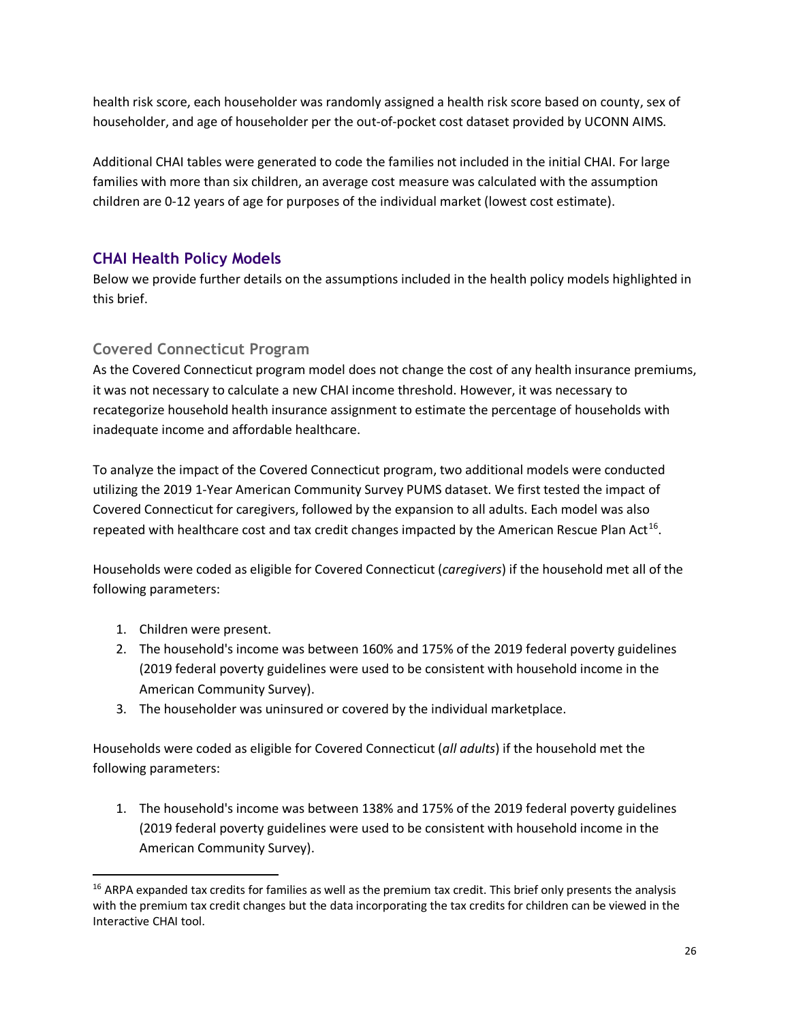health risk score, each householder was randomly assigned a health risk score based on county, sex of householder, and age of householder per the out-of-pocket cost dataset provided by UCONN AIMS.

Additional CHAI tables were generated to code the families not included in the initial CHAI. For large families with more than six children, an average cost measure was calculated with the assumption children are 0-12 years of age for purposes of the individual market (lowest cost estimate).

### **CHAI Health Policy Models**

Below we provide further details on the assumptions included in the health policy models highlighted in this brief.

### **Covered Connecticut Program**

As the Covered Connecticut program model does not change the cost of any health insurance premiums, it was not necessary to calculate a new CHAI income threshold. However, it was necessary to recategorize household health insurance assignment to estimate the percentage of households with inadequate income and affordable healthcare.

To analyze the impact of the Covered Connecticut program, two additional models were conducted utilizing the 2019 1-Year American Community Survey PUMS dataset. We first tested the impact of Covered Connecticut for caregivers, followed by the expansion to all adults. Each model was also repeated with healthcare cost and tax credit changes impacted by the American Rescue Plan Act<sup>[16](#page-25-0)</sup>.

Households were coded as eligible for Covered Connecticut (*caregivers*) if the household met all of the following parameters:

- 1. Children were present.
- 2. The household's income was between 160% and 175% of the 2019 federal poverty guidelines (2019 federal poverty guidelines were used to be consistent with household income in the American Community Survey).
- 3. The householder was uninsured or covered by the individual marketplace.

Households were coded as eligible for Covered Connecticut (*all adults*) if the household met the following parameters:

1. The household's income was between 138% and 175% of the 2019 federal poverty guidelines (2019 federal poverty guidelines were used to be consistent with household income in the American Community Survey).

<span id="page-25-0"></span><sup>&</sup>lt;sup>16</sup> ARPA expanded tax credits for families as well as the premium tax credit. This brief only presents the analysis with the premium tax credit changes but the data incorporating the tax credits for children can be viewed in the Interactive CHAI tool.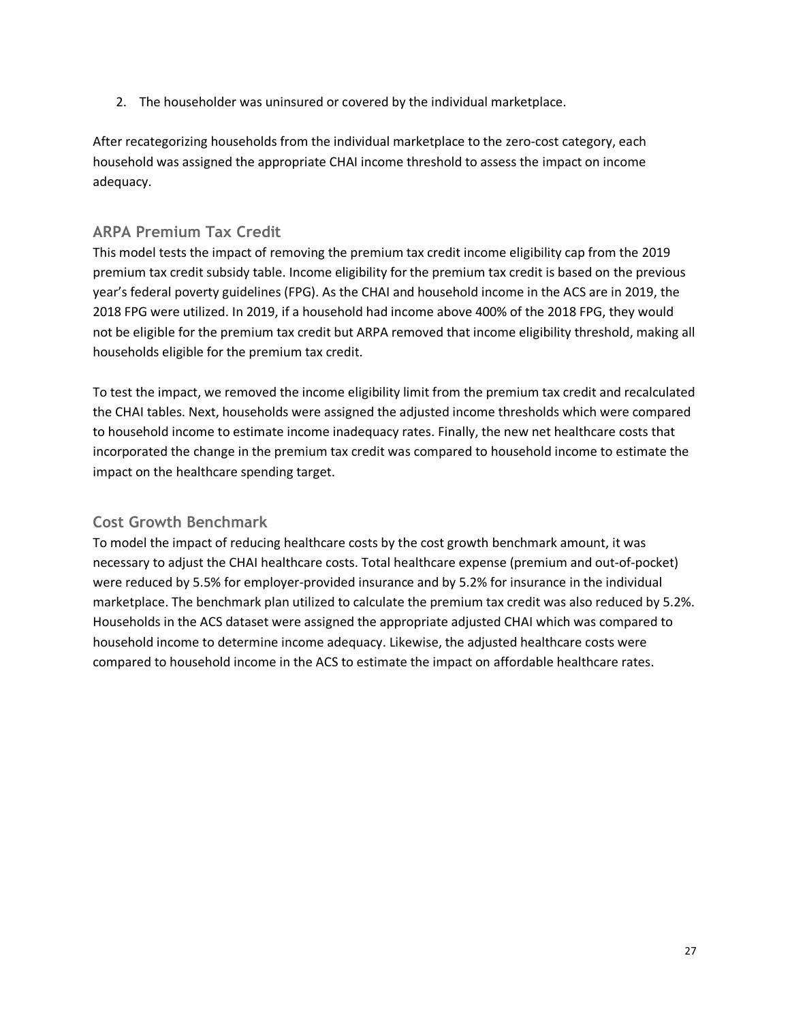2. The householder was uninsured or covered by the individual marketplace.

After recategorizing households from the individual marketplace to the zero-cost category, each household was assigned the appropriate CHAI income threshold to assess the impact on income adequacy.

### **ARPA Premium Tax Credit**

This model tests the impact of removing the premium tax credit income eligibility cap from the 2019 premium tax credit subsidy table. Income eligibility for the premium tax credit is based on the previous year's federal poverty guidelines (FPG). As the CHAI and household income in the ACS are in 2019, the 2018 FPG were utilized. In 2019, if a household had income above 400% of the 2018 FPG, they would not be eligible for the premium tax credit but ARPA removed that income eligibility threshold, making all households eligible for the premium tax credit.

To test the impact, we removed the income eligibility limit from the premium tax credit and recalculated the CHAI tables. Next, households were assigned the adjusted income thresholds which were compared to household income to estimate income inadequacy rates. Finally, the new net healthcare costs that incorporated the change in the premium tax credit was compared to household income to estimate the impact on the healthcare spending target.

### **Cost Growth Benchmark**

To model the impact of reducing healthcare costs by the cost growth benchmark amount, it was necessary to adjust the CHAI healthcare costs. Total healthcare expense (premium and out-of-pocket) were reduced by 5.5% for employer-provided insurance and by 5.2% for insurance in the individual marketplace. The benchmark plan utilized to calculate the premium tax credit was also reduced by 5.2%. Households in the ACS dataset were assigned the appropriate adjusted CHAI which was compared to household income to determine income adequacy. Likewise, the adjusted healthcare costs were compared to household income in the ACS to estimate the impact on affordable healthcare rates.